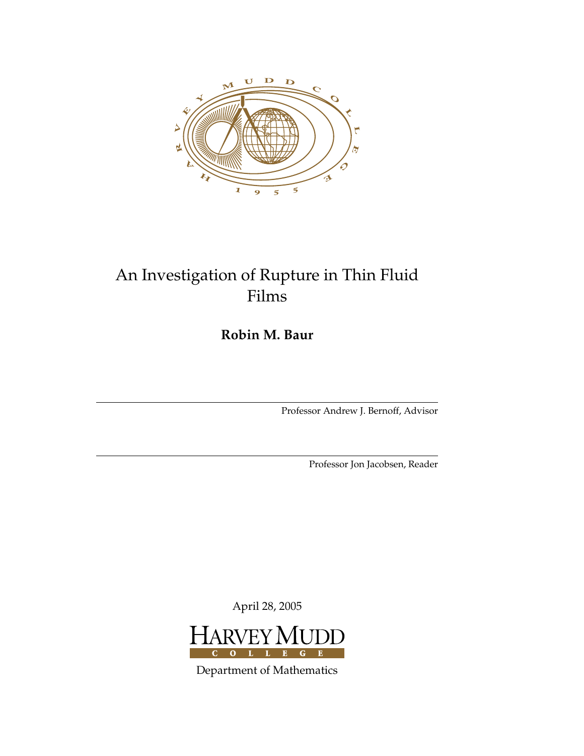

# An Investigation of Rupture in Thin Fluid Films

**Robin M. Baur**

Professor Andrew J. Bernoff, Advisor

Professor Jon Jacobsen, Reader

April 28, 2005



Department of Mathematics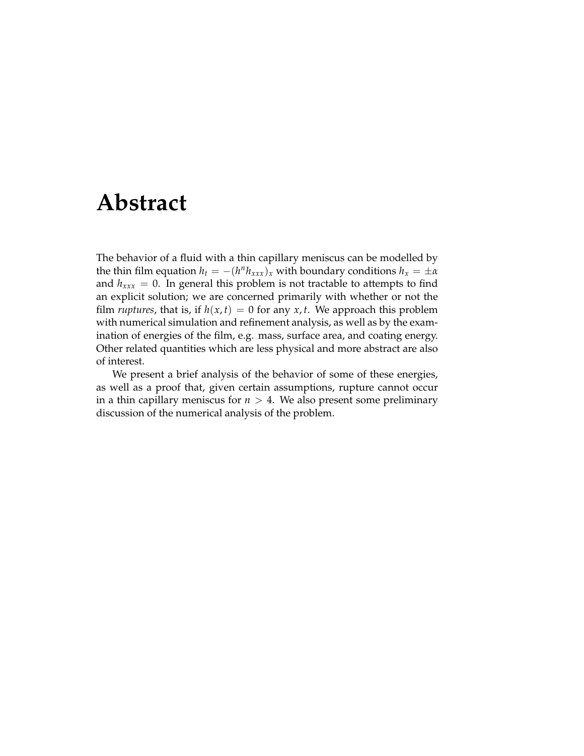# **Abstract**

<span id="page-2-0"></span>The behavior of a fluid with a thin capillary meniscus can be modelled by the thin film equation  $h_t = -(h^n h_{xxx})_x$  with boundary conditions  $h_x = \pm \alpha$ and  $h_{xxx} = 0$ . In general this problem is not tractable to attempts to find an explicit solution; we are concerned primarily with whether or not the film *ruptures*, that is, if  $h(x, t) = 0$  for any  $x, t$ . We approach this problem with numerical simulation and refinement analysis, as well as by the examination of energies of the film, e.g. mass, surface area, and coating energy. Other related quantities which are less physical and more abstract are also of interest.

We present a brief analysis of the behavior of some of these energies, as well as a proof that, given certain assumptions, rupture cannot occur in a thin capillary meniscus for  $n > 4$ . We also present some preliminary discussion of the numerical analysis of the problem.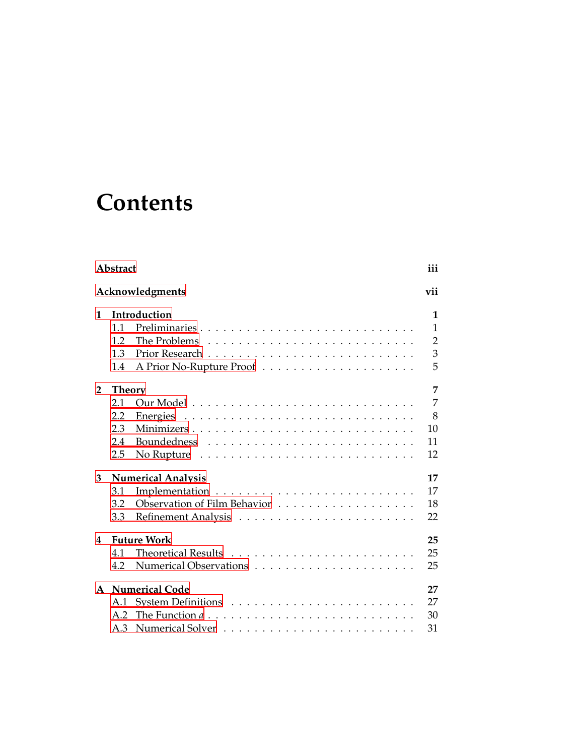# **Contents**

|                         | Abstract                  |                                                                              |                |  |  |  |  |  |  |  |  |  |
|-------------------------|---------------------------|------------------------------------------------------------------------------|----------------|--|--|--|--|--|--|--|--|--|
| Acknowledgments         |                           |                                                                              |                |  |  |  |  |  |  |  |  |  |
| 1                       |                           | Introduction                                                                 | 1              |  |  |  |  |  |  |  |  |  |
|                         | 1.1                       | Preliminaries                                                                | 1              |  |  |  |  |  |  |  |  |  |
|                         | 1.2                       |                                                                              | $\overline{2}$ |  |  |  |  |  |  |  |  |  |
|                         | 1.3                       |                                                                              | 3              |  |  |  |  |  |  |  |  |  |
|                         | 1.4                       |                                                                              | 5              |  |  |  |  |  |  |  |  |  |
| $\mathbf{2}$            | <b>Theory</b>             |                                                                              | 7              |  |  |  |  |  |  |  |  |  |
|                         | 2.1                       |                                                                              | 7              |  |  |  |  |  |  |  |  |  |
|                         | 2.2                       |                                                                              | 8              |  |  |  |  |  |  |  |  |  |
|                         | 2.3                       | Minimizers                                                                   | 10             |  |  |  |  |  |  |  |  |  |
|                         | 2.4                       |                                                                              | 11             |  |  |  |  |  |  |  |  |  |
|                         | 2.5                       |                                                                              | 12             |  |  |  |  |  |  |  |  |  |
| 3                       | <b>Numerical Analysis</b> |                                                                              |                |  |  |  |  |  |  |  |  |  |
|                         | 3.1                       |                                                                              | 17             |  |  |  |  |  |  |  |  |  |
|                         | 3.2                       |                                                                              | 18             |  |  |  |  |  |  |  |  |  |
|                         | 3.3                       |                                                                              | 22             |  |  |  |  |  |  |  |  |  |
| <b>Future Work</b><br>4 |                           |                                                                              |                |  |  |  |  |  |  |  |  |  |
|                         | 4.1                       |                                                                              | 25             |  |  |  |  |  |  |  |  |  |
|                         | 4.2                       |                                                                              | 25             |  |  |  |  |  |  |  |  |  |
| $\mathbf{A}$            |                           | <b>Numerical Code</b>                                                        | 27             |  |  |  |  |  |  |  |  |  |
|                         | A.1                       |                                                                              | 27             |  |  |  |  |  |  |  |  |  |
|                         | A.2                       | The Function $a \dots \dots \dots \dots \dots \dots \dots \dots \dots \dots$ | 30             |  |  |  |  |  |  |  |  |  |
|                         | A.3                       |                                                                              | 31             |  |  |  |  |  |  |  |  |  |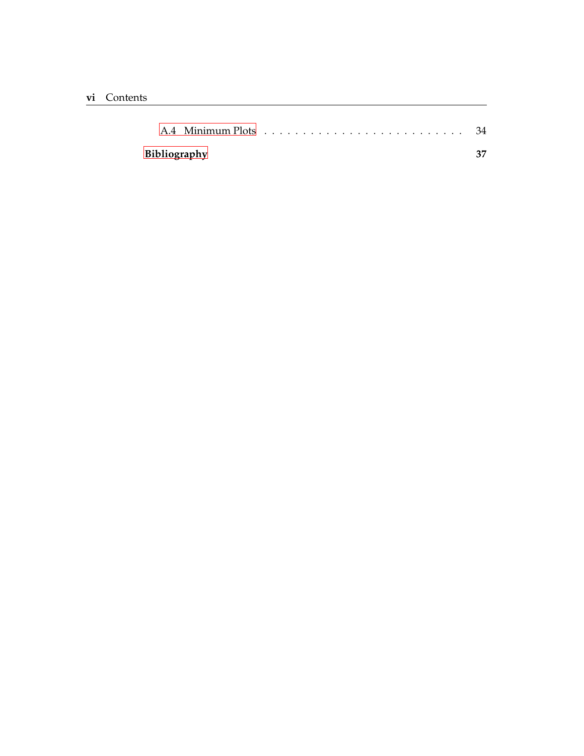| Bibliography |  |  |  |  |  |  |  |  |  | 37 |  |  |  |  |  |  |  |  |  |  |  |  |
|--------------|--|--|--|--|--|--|--|--|--|----|--|--|--|--|--|--|--|--|--|--|--|--|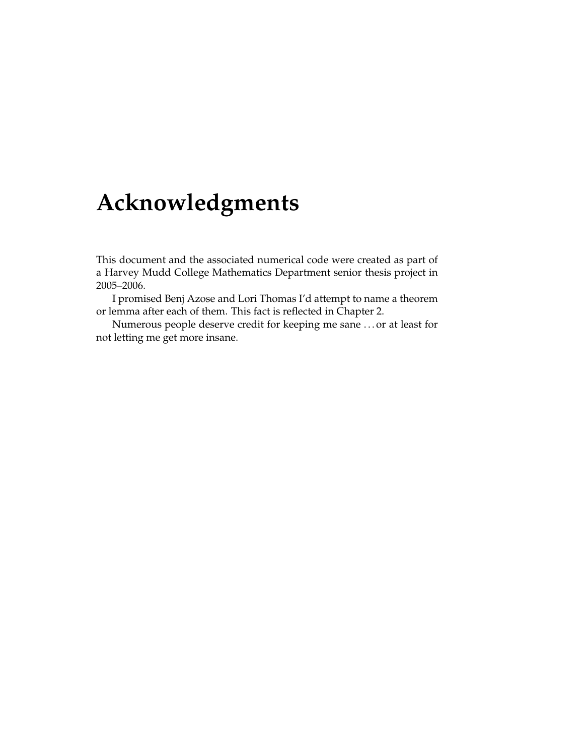# **Acknowledgments**

<span id="page-6-0"></span>This document and the associated numerical code were created as part of a Harvey Mudd College Mathematics Department senior thesis project in 2005–2006.

I promised Benj Azose and Lori Thomas I'd attempt to name a theorem or lemma after each of them. This fact is reflected in Chapter 2.

Numerous people deserve credit for keeping me sane . . . or at least for not letting me get more insane.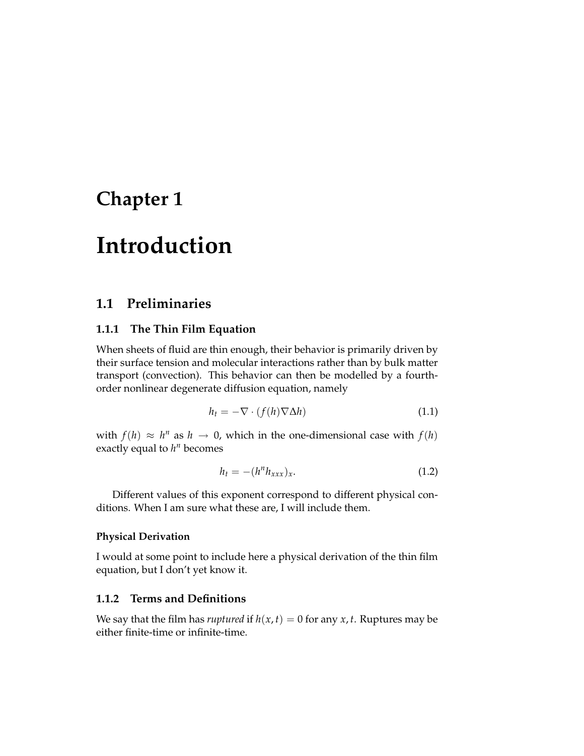# <span id="page-8-0"></span>**Chapter 1**

# **Introduction**

## <span id="page-8-1"></span>**1.1 Preliminaries**

#### **1.1.1 The Thin Film Equation**

When sheets of fluid are thin enough, their behavior is primarily driven by their surface tension and molecular interactions rather than by bulk matter transport (convection). This behavior can then be modelled by a fourthorder nonlinear degenerate diffusion equation, namely

$$
h_t = -\nabla \cdot (f(h)\nabla \Delta h) \tag{1.1}
$$

with  $f(h) \approx h^n$  as  $h \to 0$ , which in the one-dimensional case with  $f(h)$ exactly equal to  $h^n$  becomes

$$
h_t = -(h^n h_{xxx})_x. \tag{1.2}
$$

Different values of this exponent correspond to different physical conditions. When I am sure what these are, I will include them.

#### **Physical Derivation**

I would at some point to include here a physical derivation of the thin film equation, but I don't yet know it.

#### **1.1.2 Terms and Definitions**

We say that the film has *ruptured* if  $h(x, t) = 0$  for any  $x, t$ . Ruptures may be either finite-time or infinite-time.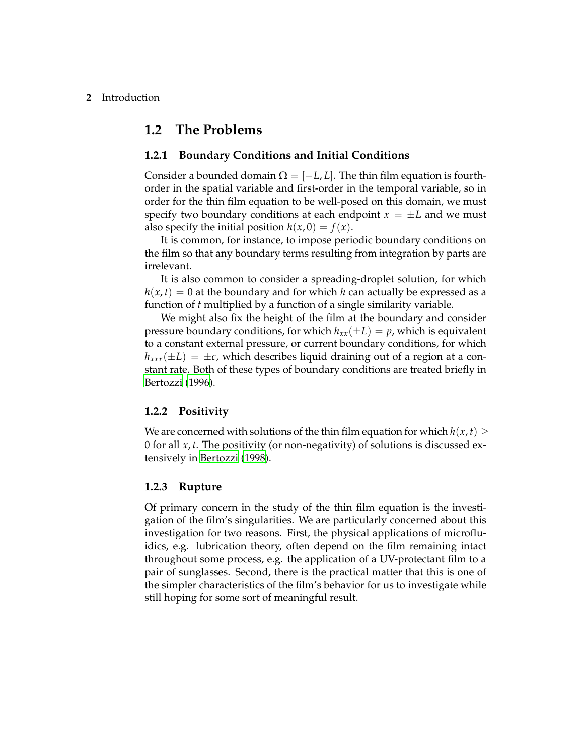### <span id="page-9-0"></span>**1.2 The Problems**

#### **1.2.1 Boundary Conditions and Initial Conditions**

Consider a bounded domain  $\Omega = [-L, L]$ . The thin film equation is fourthorder in the spatial variable and first-order in the temporal variable, so in order for the thin film equation to be well-posed on this domain, we must specify two boundary conditions at each endpoint  $x = \pm L$  and we must also specify the initial position  $h(x, 0) = f(x)$ .

It is common, for instance, to impose periodic boundary conditions on the film so that any boundary terms resulting from integration by parts are irrelevant.

It is also common to consider a spreading-droplet solution, for which  $h(x, t) = 0$  at the boundary and for which *h* can actually be expressed as a function of *t* multiplied by a function of a single similarity variable.

We might also fix the height of the film at the boundary and consider pressure boundary conditions, for which  $h_{xx}(\pm L) = p$ , which is equivalent to a constant external pressure, or current boundary conditions, for which  $h_{xxx}(\pm L) = \pm c$ , which describes liquid draining out of a region at a constant rate. Both of these types of boundary conditions are treated briefly in [Bertozzi](#page-44-1) [\(1996\)](#page-44-1).

#### **1.2.2 Positivity**

We are concerned with solutions of the thin film equation for which  $h(x, t) \geq$ 0 for all *x*, *t*. The positivity (or non-negativity) of solutions is discussed extensively in [Bertozzi](#page-44-2) [\(1998](#page-44-2)).

#### **1.2.3 Rupture**

Of primary concern in the study of the thin film equation is the investigation of the film's singularities. We are particularly concerned about this investigation for two reasons. First, the physical applications of microfluidics, e.g. lubrication theory, often depend on the film remaining intact throughout some process, e.g. the application of a UV-protectant film to a pair of sunglasses. Second, there is the practical matter that this is one of the simpler characteristics of the film's behavior for us to investigate while still hoping for some sort of meaningful result.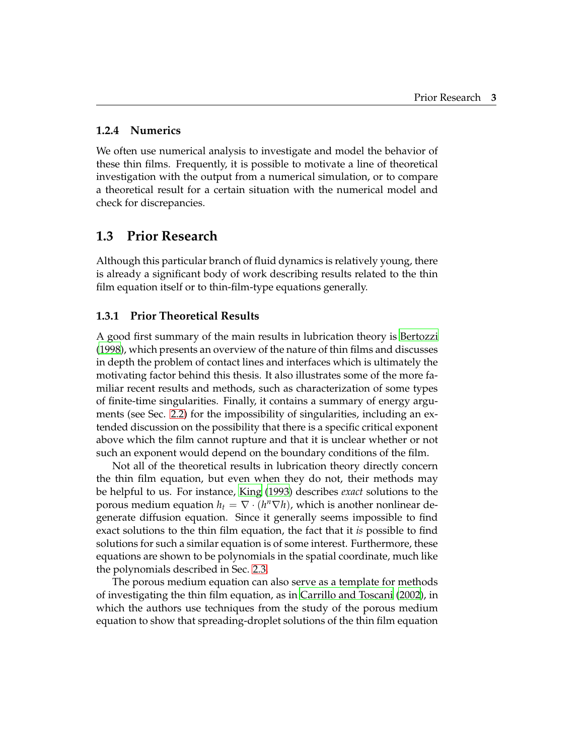#### **1.2.4 Numerics**

We often use numerical analysis to investigate and model the behavior of these thin films. Frequently, it is possible to motivate a line of theoretical investigation with the output from a numerical simulation, or to compare a theoretical result for a certain situation with the numerical model and check for discrepancies.

## <span id="page-10-0"></span>**1.3 Prior Research**

Although this particular branch of fluid dynamics is relatively young, there is already a significant body of work describing results related to the thin film equation itself or to thin-film-type equations generally.

#### <span id="page-10-1"></span>**1.3.1 Prior Theoretical Results**

A good first summary of the main results in lubrication theory is [Bertozzi](#page-44-2) [\(1998](#page-44-2)), which presents an overview of the nature of thin films and discusses in depth the problem of contact lines and interfaces which is ultimately the motivating factor behind this thesis. It also illustrates some of the more familiar recent results and methods, such as characterization of some types of finite-time singularities. Finally, it contains a summary of energy arguments (see Sec. [2.2\)](#page-15-0) for the impossibility of singularities, including an extended discussion on the possibility that there is a specific critical exponent above which the film cannot rupture and that it is unclear whether or not such an exponent would depend on the boundary conditions of the film.

Not all of the theoretical results in lubrication theory directly concern the thin film equation, but even when they do not, their methods may be helpful to us. For instance, [King](#page-44-3) [\(1993](#page-44-3)) describes *exact* solutions to the porous medium equation  $h_t = \nabla \cdot (h^n \nabla h)$ , which is another nonlinear degenerate diffusion equation. Since it generally seems impossible to find exact solutions to the thin film equation, the fact that it *is* possible to find solutions for such a similar equation is of some interest. Furthermore, these equations are shown to be polynomials in the spatial coordinate, much like the polynomials described in Sec. [2.3.](#page-17-0)

The porous medium equation can also serve as a template for methods of investigating the thin film equation, as in [Carrillo](#page-44-4) and Toscani [\(2002\)](#page-44-4), in which the authors use techniques from the study of the porous medium equation to show that spreading-droplet solutions of the thin film equation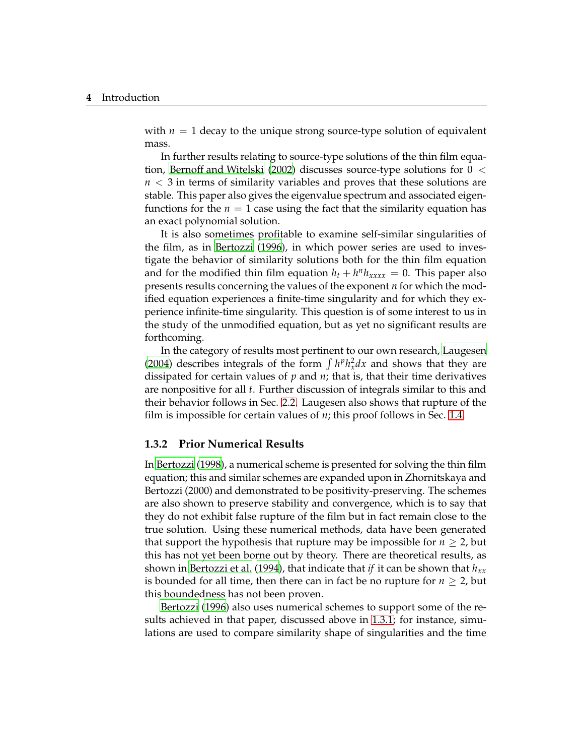with  $n = 1$  decay to the unique strong source-type solution of equivalent mass.

In further results relating to source-type solutions of the thin film equa-tion, Bernoff and [Witelski](#page-44-5) [\(2002\)](#page-44-5) discusses source-type solutions for  $0 <$ *n* < 3 in terms of similarity variables and proves that these solutions are stable. This paper also gives the eigenvalue spectrum and associated eigenfunctions for the  $n = 1$  case using the fact that the similarity equation has an exact polynomial solution.

It is also sometimes profitable to examine self-similar singularities of the film, as in [Bertozzi](#page-44-1) [\(1996](#page-44-1)), in which power series are used to investigate the behavior of similarity solutions both for the thin film equation and for the modified thin film equation  $h_t + h^n h_{xxxx} = 0$ . This paper also presents results concerning the values of the exponent *n* for which the modified equation experiences a finite-time singularity and for which they experience infinite-time singularity. This question is of some interest to us in the study of the unmodified equation, but as yet no significant results are forthcoming.

In the category of results most pertinent to our own research, [Laugesen](#page-44-6) [\(2004](#page-44-6)) describes integrals of the form  $\int h^p h_x^2 dx$  and shows that they are dissipated for certain values of *p* and *n*; that is, that their time derivatives are nonpositive for all *t*. Further discussion of integrals similar to this and their behavior follows in Sec. [2.2.](#page-15-0) Laugesen also shows that rupture of the film is impossible for certain values of *n*; this proof follows in Sec. [1.4.](#page-12-0)

#### **1.3.2 Prior Numerical Results**

In [Bertozzi](#page-44-2) [\(1998\)](#page-44-2), a numerical scheme is presented for solving the thin film equation; this and similar schemes are expanded upon in Zhornitskaya and Bertozzi (2000) and demonstrated to be positivity-preserving. The schemes are also shown to preserve stability and convergence, which is to say that they do not exhibit false rupture of the film but in fact remain close to the true solution. Using these numerical methods, data have been generated that support the hypothesis that rupture may be impossible for  $n \geq 2$ , but this has not yet been borne out by theory. There are theoretical results, as shown in [Bertozzi](#page-44-7) et al. [\(1994](#page-44-7)), that indicate that *if* it can be shown that *hxx* is bounded for all time, then there can in fact be no rupture for  $n \geq 2$ , but this boundedness has not been proven.

[Bertozzi](#page-44-1) [\(1996\)](#page-44-1) also uses numerical schemes to support some of the results achieved in that paper, discussed above in [1.3.1;](#page-10-1) for instance, simulations are used to compare similarity shape of singularities and the time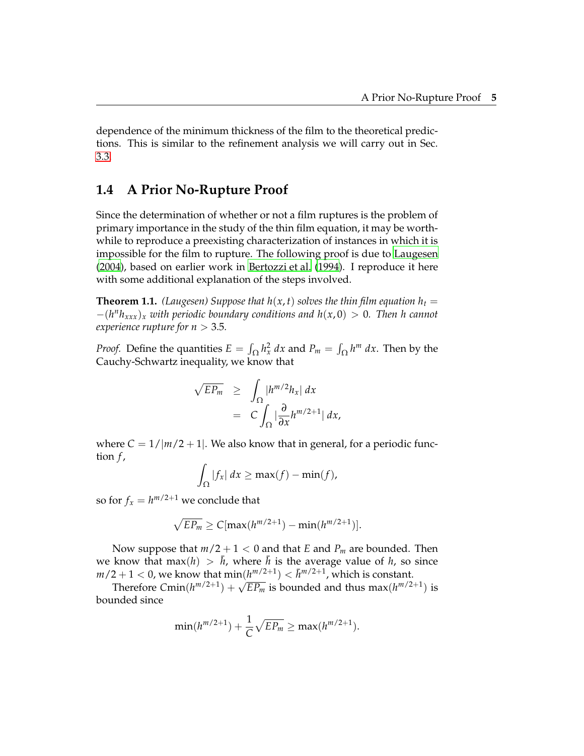dependence of the minimum thickness of the film to the theoretical predictions. This is similar to the refinement analysis we will carry out in Sec. [3.3.](#page-29-0)

# <span id="page-12-0"></span>**1.4 A Prior No-Rupture Proof**

Since the determination of whether or not a film ruptures is the problem of primary importance in the study of the thin film equation, it may be worthwhile to reproduce a preexisting characterization of instances in which it is impossible for the film to rupture. The following proof is due to [Laugesen](#page-44-6) [\(2004](#page-44-6)), based on earlier work in [Bertozzi](#page-44-7) et al. [\(1994\)](#page-44-7). I reproduce it here with some additional explanation of the steps involved.

**Theorem 1.1.** *(Laugesen) Suppose that*  $h(x, t)$  *solves the thin film equation*  $h_t =$ −(*h <sup>n</sup>hxxx*)*<sup>x</sup> with periodic boundary conditions and h*(*x*, 0) > 0*. Then h cannot experience rupture for*  $n > 3.5$ *.* 

*Proof.* Define the quantities  $E = \int_{\Omega} h_x^2 dx$  and  $P_m = \int_{\Omega} h^m dx$ . Then by the Cauchy-Schwartz inequality, we know that

$$
\sqrt{E P_m} \geq \int_{\Omega} |h^{m/2} h_x| dx
$$
  
=  $C \int_{\Omega} |\frac{\partial}{\partial x} h^{m/2+1}| dx$ ,

where  $C = 1/|m/2 + 1|$ . We also know that in general, for a periodic function *f* ,

$$
\int_{\Omega} |f_x| dx \geq \max(f) - \min(f),
$$

so for  $f_x = h^{m/2+1}$  we conclude that

$$
\sqrt{EP_m} \ge C[\max(h^{m/2+1}) - \min(h^{m/2+1})].
$$

Now suppose that  $m/2 + 1 < 0$  and that *E* and  $P_m$  are bounded. Then we know that max(*h*)  $> \bar{h}$ , where  $\bar{h}$  is the average value of *h*, so since  $m/2+1 < 0$ , we know that  $\min(h^{m/2+1}) < \bar{h}^{m/2+1}$ , which is constant.

Therefore  $Cmin(h^{m/2+1}) + \sqrt{E P_m}$  is bounded and thus  $max(h^{m/2+1})$  is bounded since

$$
\min(h^{m/2+1}) + \frac{1}{C}\sqrt{EP_m} \ge \max(h^{m/2+1}).
$$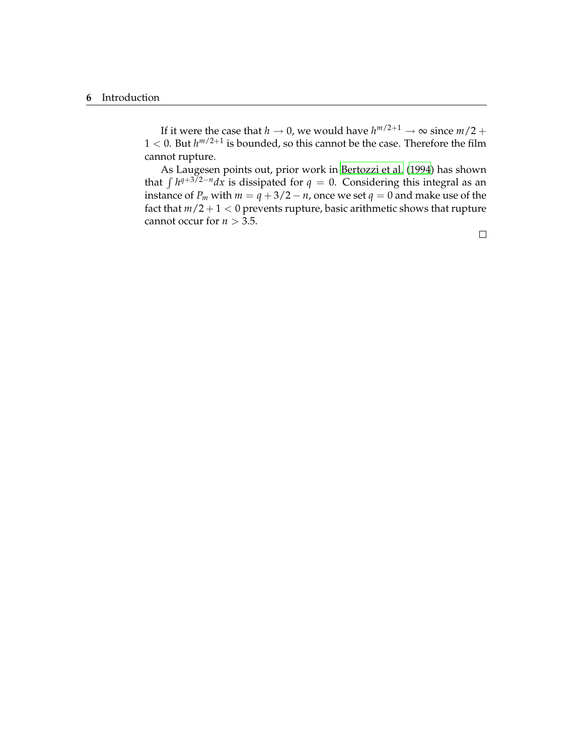If it were the case that *h*  $\rightarrow$  0, we would have  $h^{m/2+1} \rightarrow \infty$  since  $m/2 +$  $1 < 0$ . But  $h^{m/2+1}$  is bounded, so this cannot be the case. Therefore the film cannot rupture.

As Laugesen points out, prior work in [Bertozzi](#page-44-7) et al. [\(1994\)](#page-44-7) has shown that  $\int h^{q+3/2-n} dx$  is dissipated for *q* = 0. Considering this integral as an instance of *P<sub>m</sub>* with  $m = q + 3/2 - n$ , once we set  $q = 0$  and make use of the fact that  $m/2 + 1 < 0$  prevents rupture, basic arithmetic shows that rupture cannot occur for  $n > 3.5$ .

 $\Box$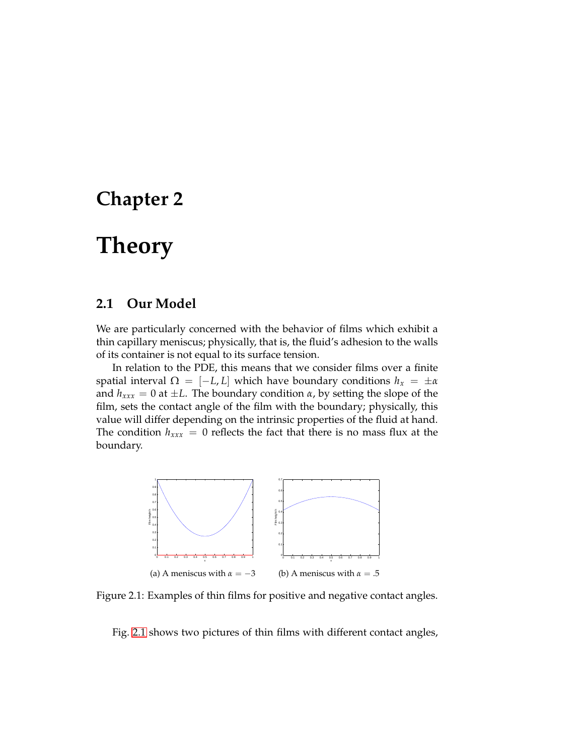# <span id="page-14-0"></span>**Chapter 2**

# **Theory**

## <span id="page-14-1"></span>**2.1 Our Model**

We are particularly concerned with the behavior of films which exhibit a thin capillary meniscus; physically, that is, the fluid's adhesion to the walls of its container is not equal to its surface tension.

In relation to the PDE, this means that we consider films over a finite spatial interval  $\Omega = [-L, L]$  which have boundary conditions  $h_x = \pm \alpha$ and  $h_{xxx} = 0$  at  $\pm L$ . The boundary condition  $\alpha$ , by setting the slope of the film, sets the contact angle of the film with the boundary; physically, this value will differ depending on the intrinsic properties of the fluid at hand. The condition  $h_{xxx} = 0$  reflects the fact that there is no mass flux at the boundary.

<span id="page-14-2"></span>

Figure 2.1: Examples of thin films for positive and negative contact angles.

Fig. [2.1](#page-14-2) shows two pictures of thin films with different contact angles,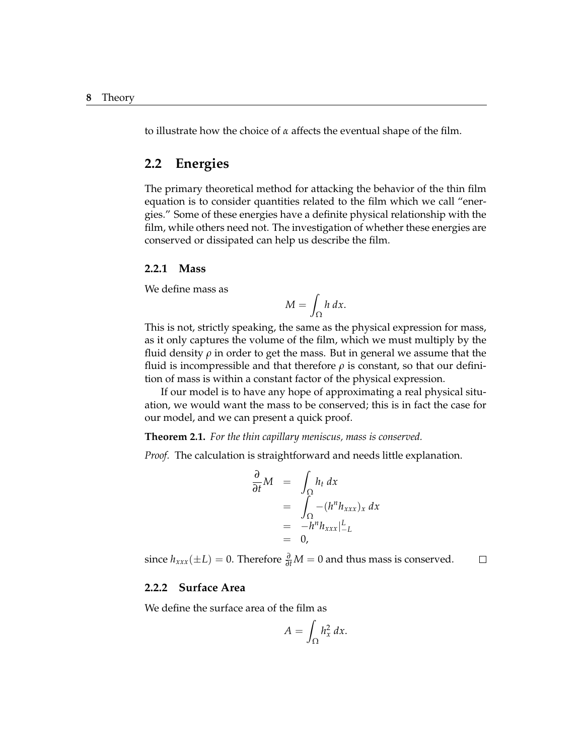to illustrate how the choice of *α* affects the eventual shape of the film.

### <span id="page-15-0"></span>**2.2 Energies**

The primary theoretical method for attacking the behavior of the thin film equation is to consider quantities related to the film which we call "energies." Some of these energies have a definite physical relationship with the film, while others need not. The investigation of whether these energies are conserved or dissipated can help us describe the film.

#### **2.2.1 Mass**

We define mass as

$$
M=\int_{\Omega} h\,dx.
$$

This is not, strictly speaking, the same as the physical expression for mass, as it only captures the volume of the film, which we must multiply by the fluid density  $\rho$  in order to get the mass. But in general we assume that the fluid is incompressible and that therefore  $\rho$  is constant, so that our definition of mass is within a constant factor of the physical expression.

If our model is to have any hope of approximating a real physical situation, we would want the mass to be conserved; this is in fact the case for our model, and we can present a quick proof.

**Theorem 2.1.** *For the thin capillary meniscus, mass is conserved.*

*Proof.* The calculation is straightforward and needs little explanation.

$$
\frac{\partial}{\partial t}M = \int_{\Omega} h_t dx
$$
  
= 
$$
\int_{\Omega} -(h^n h_{xxx})_x dx
$$
  
= 
$$
-h^n h_{xxx}|_{-L}^L
$$
  
= 0,

since  $h_{xxx}(\pm L) = 0$ . Therefore  $\frac{\partial}{\partial t}M = 0$  and thus mass is conserved.  $\Box$ 

#### **2.2.2 Surface Area**

We define the surface area of the film as

$$
A = \int_{\Omega} h_x^2 \, dx.
$$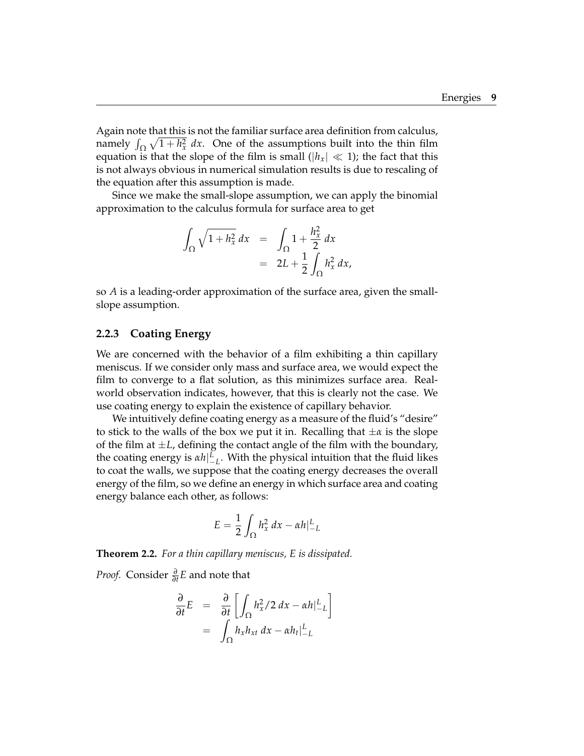Again note that this is not the familiar surface area definition from calculus, namely  $\int_{\Omega} \sqrt{1 + h_x^2} \, dx$ . One of the assumptions built into the thin film equation is that the slope of the film is small ( $|h_x| \ll 1$ ); the fact that this is not always obvious in numerical simulation results is due to rescaling of the equation after this assumption is made.

Since we make the small-slope assumption, we can apply the binomial approximation to the calculus formula for surface area to get

$$
\int_{\Omega} \sqrt{1 + h_x^2} \, dx = \int_{\Omega} 1 + \frac{h_x^2}{2} \, dx
$$

$$
= 2L + \frac{1}{2} \int_{\Omega} h_x^2 \, dx,
$$

so *A* is a leading-order approximation of the surface area, given the smallslope assumption.

#### <span id="page-16-0"></span>**2.2.3 Coating Energy**

We are concerned with the behavior of a film exhibiting a thin capillary meniscus. If we consider only mass and surface area, we would expect the film to converge to a flat solution, as this minimizes surface area. Realworld observation indicates, however, that this is clearly not the case. We use coating energy to explain the existence of capillary behavior.

We intuitively define coating energy as a measure of the fluid's "desire" to stick to the walls of the box we put it in. Recalling that  $\pm \alpha$  is the slope of the film at  $\pm L$ , defining the contact angle of the film with the boundary, the coating energy is  $\alpha h|_{-L}^L$ . With the physical intuition that the fluid likes to coat the walls, we suppose that the coating energy decreases the overall energy of the film, so we define an energy in which surface area and coating energy balance each other, as follows:

$$
E = \frac{1}{2} \int_{\Omega} h_x^2 dx - \alpha h \big|_{-L}^{L}
$$

**Theorem 2.2.** *For a thin capillary meniscus, E is dissipated.*

*Proof.* Consider *<sup>∂</sup> ∂t E* and note that

$$
\frac{\partial}{\partial t}E = \frac{\partial}{\partial t} \left[ \int_{\Omega} h_x^2 / 2 \, dx - \alpha h \Big|_{-L}^L \right]
$$

$$
= \int_{\Omega} h_x h_{xt} \, dx - \alpha h_t \Big|_{-L}^L
$$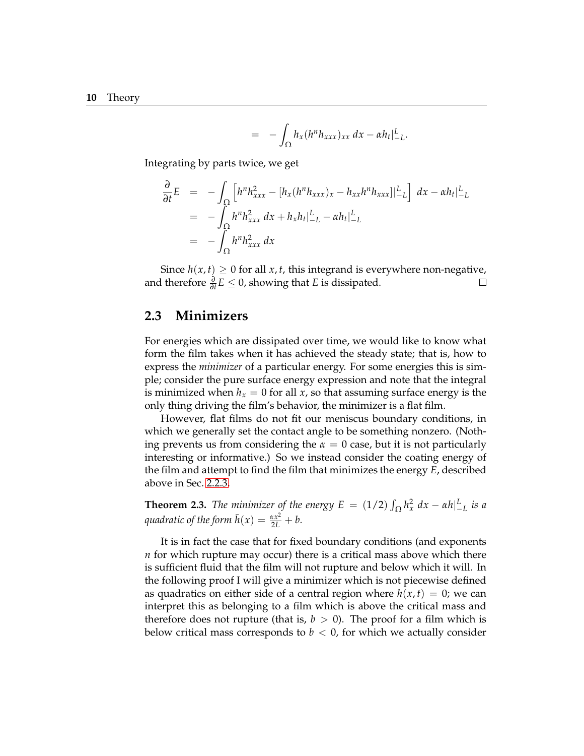$$
= - \int_{\Omega} h_x (h^n h_{xxx})_{xx} dx - \alpha h_t |_{-L}^L.
$$

Integrating by parts twice, we get

$$
\frac{\partial}{\partial t}E = -\int_{\Omega} \left[ h^{n} h_{xxx}^{2} - [h_{x}(h^{n} h_{xxx})_{x} - h_{xx}h^{n} h_{xxx}] \right]_{-L}^{L} dx - \alpha h_{t}|_{-L}^{L}
$$
\n
$$
= -\int_{\Omega} h^{n} h_{xxx}^{2} dx + h_{x} h_{t}|_{-L}^{L} - \alpha h_{t}|_{-L}^{L}
$$
\n
$$
= -\int_{\Omega} h^{n} h_{xxx}^{2} dx
$$

Since *h*(*x*, *t*) ≥ 0 for all *x*, *t*, this integrand is everywhere non-negative, therefore  $\frac{\partial}{\partial t}E$  < 0, showing that *E* is dissipated. □ and therefore  $\frac{\partial}{\partial t} E \leq 0$ , showing that *E* is dissipated.

### <span id="page-17-0"></span>**2.3 Minimizers**

For energies which are dissipated over time, we would like to know what form the film takes when it has achieved the steady state; that is, how to express the *minimizer* of a particular energy. For some energies this is simple; consider the pure surface energy expression and note that the integral is minimized when  $h_x = 0$  for all *x*, so that assuming surface energy is the only thing driving the film's behavior, the minimizer is a flat film.

However, flat films do not fit our meniscus boundary conditions, in which we generally set the contact angle to be something nonzero. (Nothing prevents us from considering the  $\alpha = 0$  case, but it is not particularly interesting or informative.) So we instead consider the coating energy of the film and attempt to find the film that minimizes the energy *E*, described above in Sec. [2.2.3.](#page-16-0)

**Theorem 2.3.** *The minimizer of the energy*  $E = (1/2) \int_{\Omega} h_x^2 dx - \alpha h \big|_{-L}^L$  *is a quadratic of the form*  $\bar{h}(x) = \frac{\alpha x^2}{2L} + b$ .

It is in fact the case that for fixed boundary conditions (and exponents *n* for which rupture may occur) there is a critical mass above which there is sufficient fluid that the film will not rupture and below which it will. In the following proof I will give a minimizer which is not piecewise defined as quadratics on either side of a central region where  $h(x, t) = 0$ ; we can interpret this as belonging to a film which is above the critical mass and therefore does not rupture (that is,  $b > 0$ ). The proof for a film which is below critical mass corresponds to  $b < 0$ , for which we actually consider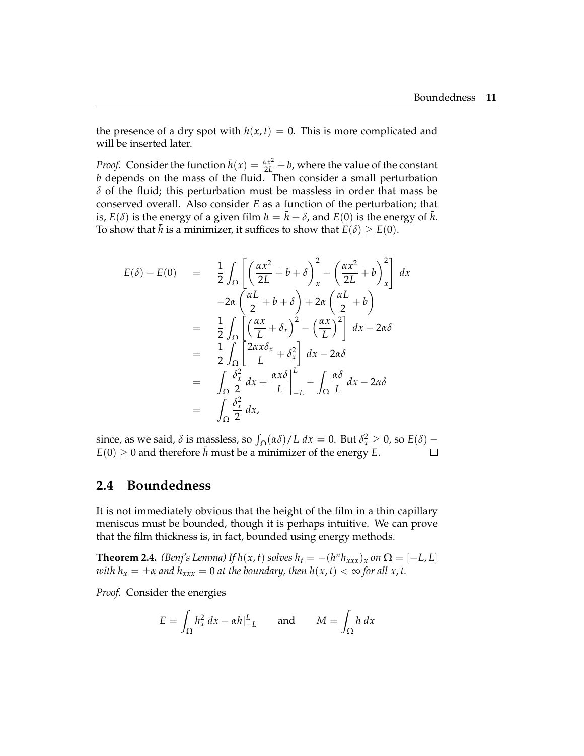the presence of a dry spot with  $h(x, t) = 0$ . This is more complicated and will be inserted later.

*Proof.* Consider the function  $\bar{h}(x) = \frac{ax^2}{2L} + b$ , where the value of the constant *b* depends on the mass of the fluid. Then consider a small perturbation *δ* of the fluid; this perturbation must be massless in order that mass be conserved overall. Also consider *E* as a function of the perturbation; that is,  $E(\delta)$  is the energy of a given film  $h = \bar{h} + \delta$ , and  $E(0)$  is the energy of  $\bar{h}$ . To show that  $\bar{h}$  is a minimizer, it suffices to show that  $E(\delta) \geq E(0)$ .

$$
E(\delta) - E(0) = \frac{1}{2} \int_{\Omega} \left[ \left( \frac{\alpha x^2}{2L} + b + \delta \right)_x^2 - \left( \frac{\alpha x^2}{2L} + b \right)_x^2 \right] dx
$$
  

$$
-2\alpha \left( \frac{\alpha L}{2} + b + \delta \right) + 2\alpha \left( \frac{\alpha L}{2} + b \right)
$$
  

$$
= \frac{1}{2} \int_{\Omega} \left[ \left( \frac{\alpha x}{L} + \delta_x \right)^2 - \left( \frac{\alpha x}{L} \right)^2 \right] dx - 2\alpha \delta
$$
  

$$
= \frac{1}{2} \int_{\Omega} \left[ \frac{2\alpha x \delta_x}{L} + \delta_x^2 \right] dx - 2\alpha \delta
$$
  

$$
= \int_{\Omega} \frac{\delta_x^2}{2} dx + \left. \frac{\alpha x \delta}{L} \right|_{-L}^L - \int_{\Omega} \frac{\alpha \delta}{L} dx - 2\alpha \delta
$$
  

$$
= \int_{\Omega} \frac{\delta_x^2}{2} dx,
$$

since, as we said,  $\delta$  is massless, so  $\int_{\Omega} (\alpha \delta) / L dx = 0$ . But  $\delta_x^2 \ge 0$ , so  $E(\delta)$  –  $E(0) \geq 0$  and therefore  $\bar{h}$  must be a minimizer of the energy *E*.

### <span id="page-18-0"></span>**2.4 Boundedness**

It is not immediately obvious that the height of the film in a thin capillary meniscus must be bounded, though it is perhaps intuitive. We can prove that the film thickness is, in fact, bounded using energy methods.

<span id="page-18-1"></span>**Theorem 2.4.** *(Benj's Lemma) If*  $h(x, t)$  *solves*  $h_t = -(h^n h_{xxx})_x$  *on*  $\Omega = [-L, L]$ *with*  $h_x = \pm \alpha$  *and*  $h_{xxx} = 0$  *at the boundary, then*  $h(x, t) < \infty$  *for all x, t.* 

*Proof.* Consider the energies

$$
E = \int_{\Omega} h_x^2 dx - \alpha h|_{-L}^L \quad \text{and} \quad M = \int_{\Omega} h dx
$$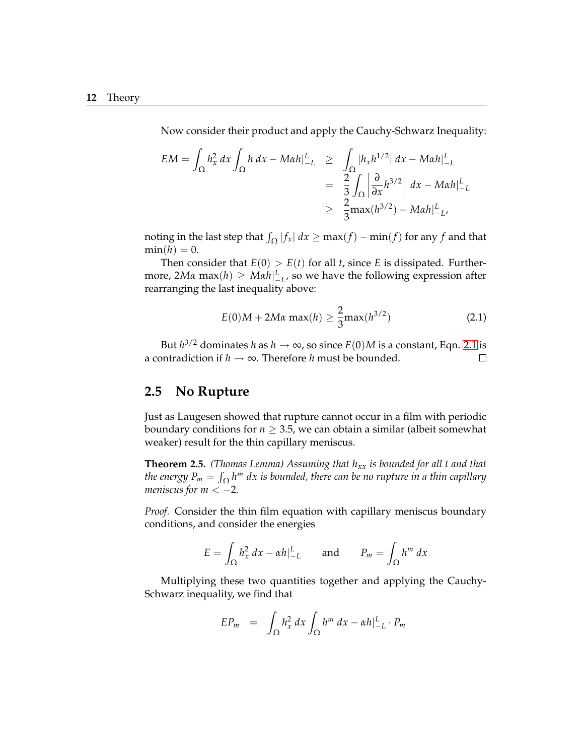Now consider their product and apply the Cauchy-Schwarz Inequality:

$$
EM = \int_{\Omega} h_x^2 dx \int_{\Omega} h dx - M\alpha h|_{-L}^L \ge \int_{\Omega} |h_x h^{1/2}| dx - M\alpha h|_{-L}^L
$$
  
=  $\frac{2}{3} \int_{\Omega} \left| \frac{\partial}{\partial x} h^{3/2} \right| dx - M\alpha h|_{-L}^L$   
 $\ge \frac{2}{3} \max(h^{3/2}) - M\alpha h|_{-L}^L$ 

noting in the last step that  $\int_{\Omega} |f_x| dx \ge \max(f) - \min(f)$  for any  $f$  and that  $min(h) = 0.$ 

Then consider that  $E(0) > E(t)$  for all *t*, since *E* is dissipated. Furthermore,  $2M\alpha \max(h) \geq M\alpha h|_{L_{L'}}^L$  so we have the following expression after rearranging the last inequality above:

$$
E(0)M + 2M\alpha \max(h) \ge \frac{2}{3} \max(h^{3/2})
$$
 (2.1)

<span id="page-19-1"></span>But  $h^{3/2}$  dominates *h* as  $h \to \infty$ , so since  $E(0)M$  is a constant, Eqn. [2.1](#page-19-1) is a contradiction if  $h \to \infty$ . Therefore *h* must be bounded.

## <span id="page-19-0"></span>**2.5 No Rupture**

Just as Laugesen showed that rupture cannot occur in a film with periodic boundary conditions for  $n \geq 3.5$ , we can obtain a similar (albeit somewhat weaker) result for the thin capillary meniscus.

<span id="page-19-2"></span>**Theorem 2.5.** *(Thomas Lemma) Assuming that hxx is bounded for all t and that the energy*  $P_m = \int_{\Omega} h^m \ dx$  *is bounded, there can be no rupture in a thin capillary meniscus for*  $m < -2$ .

*Proof.* Consider the thin film equation with capillary meniscus boundary conditions, and consider the energies

$$
E = \int_{\Omega} h_x^2 dx - \alpha h|_{-L}^L \quad \text{and} \quad P_m = \int_{\Omega} h^m dx
$$

Multiplying these two quantities together and applying the Cauchy-Schwarz inequality, we find that

$$
EP_m = \int_{\Omega} h_x^2 dx \int_{\Omega} h^m dx - \alpha h|_{-L}^L \cdot P_m
$$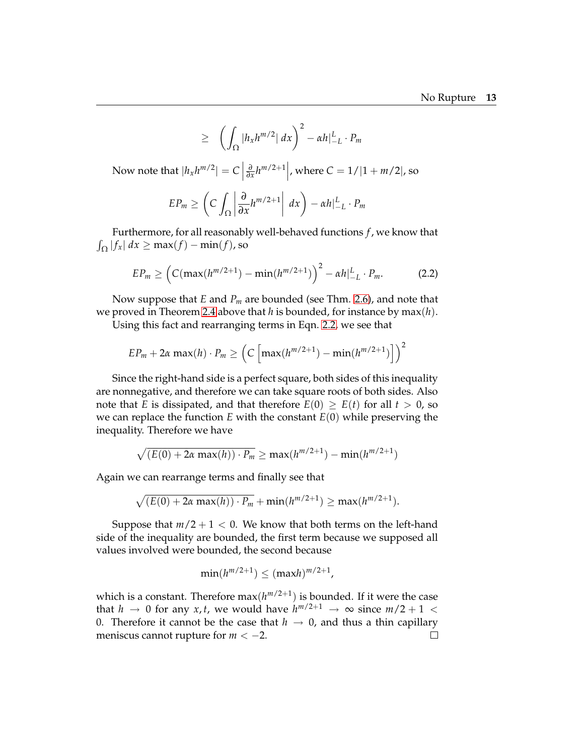$$
\geq \left( \int_{\Omega} |h_x h^{m/2}| \, dx \right)^2 - \alpha h \big|_{-L}^{L} \cdot P_m
$$

Now note that  $|h_x h^{m/2}| = C$  $\frac{\partial}{\partial x} h^{m/2+1}$ , where  $C = 1/|1 + m/2|$ , so

$$
EP_m \geq \left(C \int_{\Omega} \left| \frac{\partial}{\partial x} h^{m/2+1} \right| dx\right) - \alpha h|_{-L}^{L} \cdot P_m
$$

Furthermore, for all reasonably well-behaved functions *f*, we know that  $\int_{\Omega} |f_x| dx \ge \max(f) - \min(f)$ , so

$$
EP_m \geq \left(C(\max(h^{m/2+1}) - \min(h^{m/2+1}))\right)^2 - \alpha h|_{-L}^L \cdot P_m.
$$
 (2.2)

<span id="page-20-0"></span>Now suppose that *E* and *P<sup>m</sup>* are bounded (see Thm. [2.6\)](#page-21-0), and note that we proved in Theorem [2.4](#page-18-1) above that *h* is bounded, for instance by max(*h*).

Using this fact and rearranging terms in Eqn. [2.2,](#page-20-0) we see that

$$
EP_m + 2\alpha \max(h) \cdot P_m \geq \left(C \left[ \max(h^{m/2+1}) - \min(h^{m/2+1}) \right] \right)^2
$$

Since the right-hand side is a perfect square, both sides of this inequality are nonnegative, and therefore we can take square roots of both sides. Also note that *E* is dissipated, and that therefore  $E(0) \ge E(t)$  for all  $t > 0$ , so we can replace the function *E* with the constant *E*(0) while preserving the inequality. Therefore we have

$$
\sqrt{(E(0) + 2\alpha \max(h)) \cdot P_m} \ge \max(h^{m/2+1}) - \min(h^{m/2+1})
$$

Again we can rearrange terms and finally see that

$$
\sqrt{(E(0) + 2\alpha \max(h)) \cdot P_m}
$$
 + min( $h^{m/2+1}$ )  $\geq$  max( $h^{m/2+1}$ ).

Suppose that  $m/2 + 1 < 0$ . We know that both terms on the left-hand side of the inequality are bounded, the first term because we supposed all values involved were bounded, the second because

$$
\min(h^{m/2+1}) \leq (\max h)^{m/2+1},
$$

which is a constant. Therefore  $max(h^{m/2+1})$  is bounded. If it were the case that *h*  $\rightarrow$  0 for any *x*, *t*, we would have  $h^{m/2+1} \rightarrow \infty$  since  $m/2+1 <$ 0. Therefore it cannot be the case that *h* → 0, and thus a thin capillary meniscus cannot rupture for *m* <  $-2$ .  $\Box$ meniscus cannot rupture for *<sup>m</sup>* <sup>&</sup>lt; <sup>−</sup>2.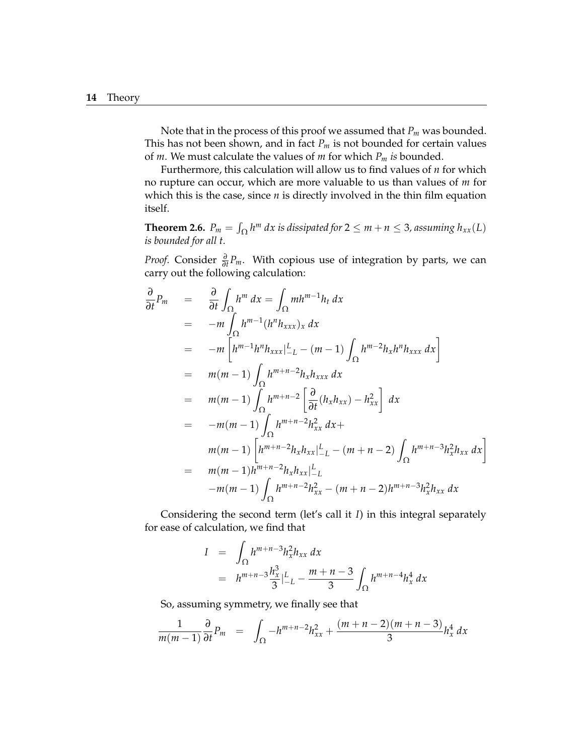Note that in the process of this proof we assumed that *P<sup>m</sup>* was bounded. This has not been shown, and in fact  $P_m$  is not bounded for certain values of *m*. We must calculate the values of *m* for which *P<sup>m</sup> is* bounded.

Furthermore, this calculation will allow us to find values of *n* for which no rupture can occur, which are more valuable to us than values of *m* for which this is the case, since *n* is directly involved in the thin film equation itself.

<span id="page-21-0"></span>**Theorem 2.6.**  $P_m = \int_{\Omega} h^m dx$  is dissipated for  $2 \le m + n \le 3$ , assuming  $h_{xx}(L)$ *is bounded for all t.*

*Proof.* Consider  $\frac{\partial}{\partial t}P_m$ . With copious use of integration by parts, we can carry out the following calculation:

$$
\frac{\partial}{\partial t} P_m = \frac{\partial}{\partial t} \int_{\Omega} h^m dx = \int_{\Omega} m h^{m-1} h_t dx \n= -m \int_{\Omega} h^{m-1} (h^n h_{xxx})_x dx \n= -m \left[ h^{m-1} h^n h_{xxx} \right]_{-L}^{L} - (m-1) \int_{\Omega} h^{m-2} h_x h^n h_{xxx} dx \right] \n= m(m-1) \int_{\Omega} h^{m+n-2} h_x h_{xxx} dx \n= m(m-1) \int_{\Omega} h^{m+n-2} \left[ \frac{\partial}{\partial t} (h_x h_{xx}) - h_{xx}^2 \right] dx \n= -m(m-1) \int_{\Omega} h^{m+n-2} h_{xx}^2 dx + \nm(m-1) \left[ h^{m+n-2} h_x h_{xx} \right]_{-L}^{L} - (m+n-2) \int_{\Omega} h^{m+n-3} h_x^2 h_{xx} dx \right] \n= m(m-1) h^{m+n-2} h_x h_{xx} \Big|_{-L}^{L} \n-m(m-1) \int_{\Omega} h^{m+n-2} h_{xx}^2 - (m+n-2) h^{m+n-3} h_x^2 h_{xx} dx
$$

Considering the second term (let's call it *I*) in this integral separately for ease of calculation, we find that

$$
I = \int_{\Omega} h^{m+n-3} h_x^2 h_{xx} dx
$$
  
=  $h^{m+n-3} \frac{h_x^3}{3} |_{-L}^L - \frac{m+n-3}{3} \int_{\Omega} h^{m+n-4} h_x^4 dx$ 

So, assuming symmetry, we finally see that

$$
\frac{1}{m(m-1)} \frac{\partial}{\partial t} P_m = \int_{\Omega} -h^{m+n-2} h_{xx}^2 + \frac{(m+n-2)(m+n-3)}{3} h_x^4 dx
$$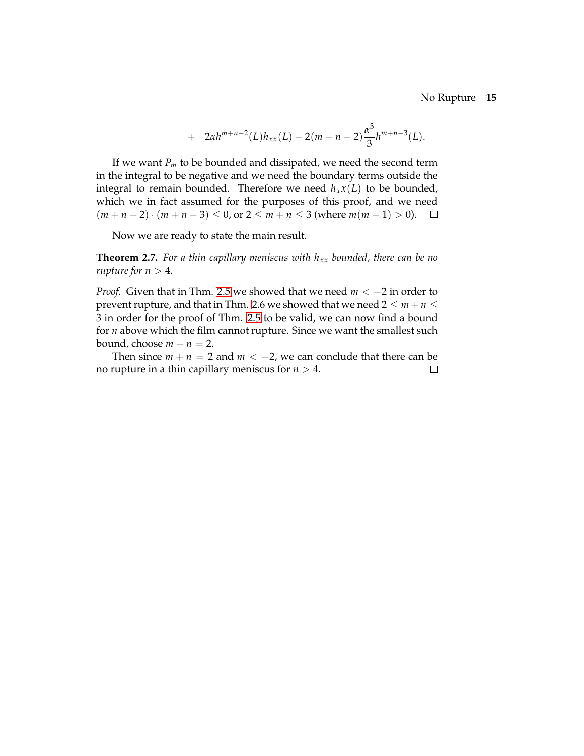+ 
$$
2\alpha h^{m+n-2}(L)h_{xx}(L) + 2(m+n-2)\frac{\alpha^3}{3}h^{m+n-3}(L).
$$

If we want  $P_m$  to be bounded and dissipated, we need the second term in the integral to be negative and we need the boundary terms outside the integral to remain bounded. Therefore we need  $h<sub>x</sub>x(L)$  to be bounded, which we in fact assumed for the purposes of this proof, and we need  $(m + n - 2) \cdot (m + n - 3) \le 0$ , or  $2 \le m + n \le 3$  (where  $m(m - 1) > 0$ ). □

Now we are ready to state the main result.

**Theorem 2.7.** *For a thin capillary meniscus with hxx bounded, there can be no rupture for*  $n > 4$ *.* 

*Proof.* Given that in Thm. [2.5](#page-19-2) we showed that we need *<sup>m</sup>* <sup>&</sup>lt; <sup>−</sup><sup>2</sup> in order to prevent rupture, and that in Thm. [2.6](#page-21-0) we showed that we need  $2 \le m + n \le$ 3 in order for the proof of Thm. [2.5](#page-19-2) to be valid, we can now find a bound for *n* above which the film cannot rupture. Since we want the smallest such bound, choose  $m + n = 2$ .

Then since *m* + *n* = 2 and *m* < −2, we can conclude that there can be rupture in a thin capillary meniscus for *n* > 4. no rupture in a thin capillary meniscus for *n* > 4.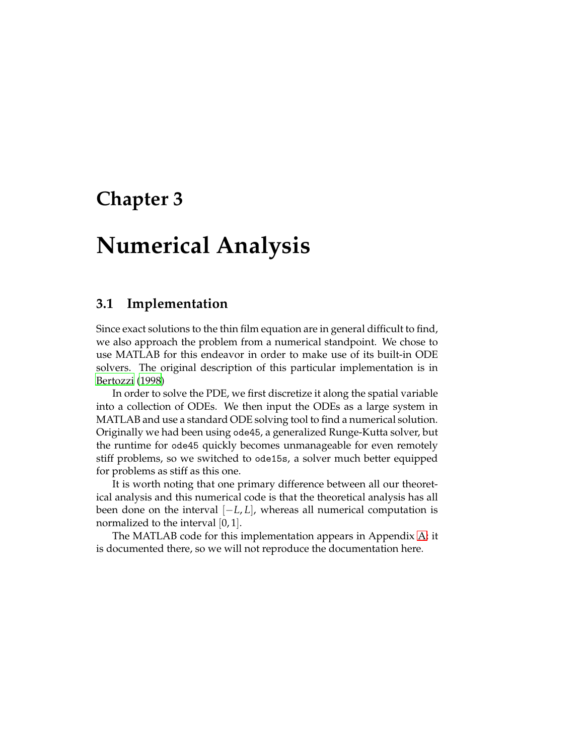# <span id="page-24-0"></span>**Chapter 3**

# **Numerical Analysis**

# <span id="page-24-1"></span>**3.1 Implementation**

Since exact solutions to the thin film equation are in general difficult to find, we also approach the problem from a numerical standpoint. We chose to use MATLAB for this endeavor in order to make use of its built-in ODE solvers. The original description of this particular implementation is in [Bertozzi](#page-44-2) [\(1998\)](#page-44-2)

In order to solve the PDE, we first discretize it along the spatial variable into a collection of ODEs. We then input the ODEs as a large system in MATLAB and use a standard ODE solving tool to find a numerical solution. Originally we had been using ode45, a generalized Runge-Kutta solver, but the runtime for ode45 quickly becomes unmanageable for even remotely stiff problems, so we switched to ode15s, a solver much better equipped for problems as stiff as this one.

It is worth noting that one primary difference between all our theoretical analysis and this numerical code is that the theoretical analysis has all been done on the interval [−*L*, *L*], whereas all numerical computation is normalized to the interval [0, 1].

The MATLAB code for this implementation appears in Appendix [A;](#page-34-0) it is documented there, so we will not reproduce the documentation here.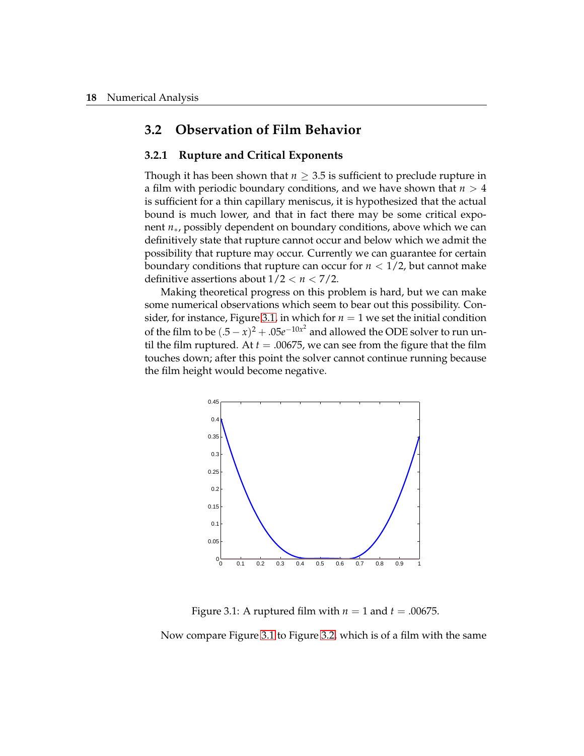## <span id="page-25-0"></span>**3.2 Observation of Film Behavior**

#### **3.2.1 Rupture and Critical Exponents**

Though it has been shown that  $n \geq 3.5$  is sufficient to preclude rupture in a film with periodic boundary conditions, and we have shown that *n* > 4 is sufficient for a thin capillary meniscus, it is hypothesized that the actual bound is much lower, and that in fact there may be some critical exponent *n*∗, possibly dependent on boundary conditions, above which we can definitively state that rupture cannot occur and below which we admit the possibility that rupture may occur. Currently we can guarantee for certain boundary conditions that rupture can occur for  $n < 1/2$ , but cannot make definitive assertions about  $1/2 < n < 7/2$ .

Making theoretical progress on this problem is hard, but we can make some numerical observations which seem to bear out this possibility. Con-sider, for instance, Figure [3.1,](#page-25-1) in which for  $n = 1$  we set the initial condition of the film to be  $(0.5 - x)^2 + 0.05e^{-10x^2}$  and allowed the ODE solver to run until the film ruptured. At  $t = .00675$ , we can see from the figure that the film touches down; after this point the solver cannot continue running because the film height would become negative.



<span id="page-25-1"></span>Figure 3.1: A ruptured film with  $n = 1$  and  $t = .00675$ .

Now compare Figure [3.1](#page-25-1) to Figure [3.2,](#page-26-0) which is of a film with the same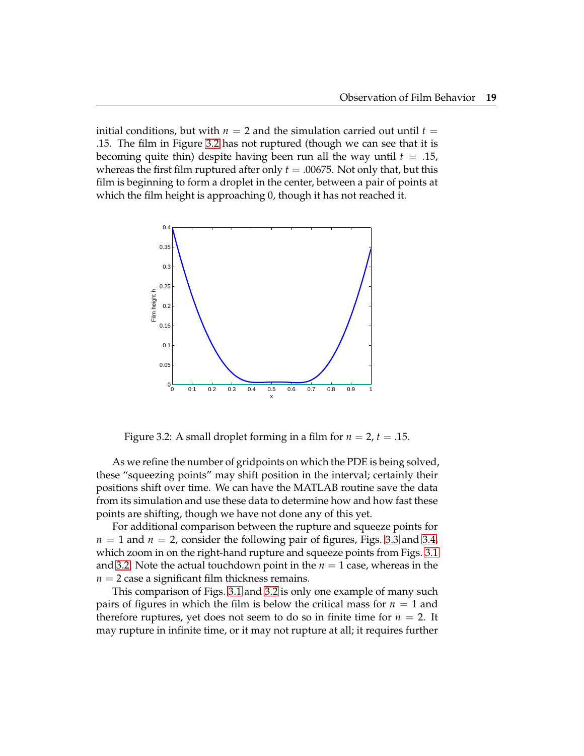initial conditions, but with  $n = 2$  and the simulation carried out until  $t =$ .15. The film in Figure [3.2](#page-26-0) has not ruptured (though we can see that it is becoming quite thin) despite having been run all the way until  $t = .15$ , whereas the first film ruptured after only  $t = .00675$ . Not only that, but this film is beginning to form a droplet in the center, between a pair of points at which the film height is approaching 0, though it has not reached it.



<span id="page-26-0"></span>Figure 3.2: A small droplet forming in a film for  $n = 2$ ,  $t = .15$ .

As we refine the number of gridpoints on which the PDE is being solved, these "squeezing points" may shift position in the interval; certainly their positions shift over time. We can have the MATLAB routine save the data from its simulation and use these data to determine how and how fast these points are shifting, though we have not done any of this yet.

For additional comparison between the rupture and squeeze points for  $n = 1$  and  $n = 2$ , consider the following pair of figures, Figs. [3.3](#page-27-0) and [3.4,](#page-27-1) which zoom in on the right-hand rupture and squeeze points from Figs. [3.1](#page-25-1) and [3.2.](#page-26-0) Note the actual touchdown point in the  $n = 1$  case, whereas in the  $n = 2$  case a significant film thickness remains.

This comparison of Figs. [3.1](#page-25-1) and [3.2](#page-26-0) is only one example of many such pairs of figures in which the film is below the critical mass for  $n = 1$  and therefore ruptures, yet does not seem to do so in finite time for  $n = 2$ . It may rupture in infinite time, or it may not rupture at all; it requires further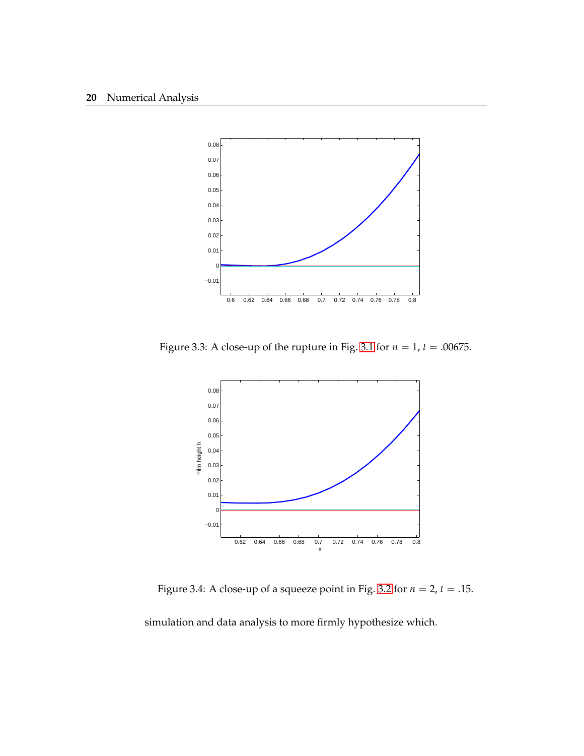

<span id="page-27-0"></span>Figure 3.3: A close-up of the rupture in Fig. [3.1](#page-25-1) for *n* = 1, *t* = .00675.



<span id="page-27-1"></span>Figure 3.4: A close-up of a squeeze point in Fig. [3.2](#page-26-0) for  $n = 2$ ,  $t = .15$ .

simulation and data analysis to more firmly hypothesize which.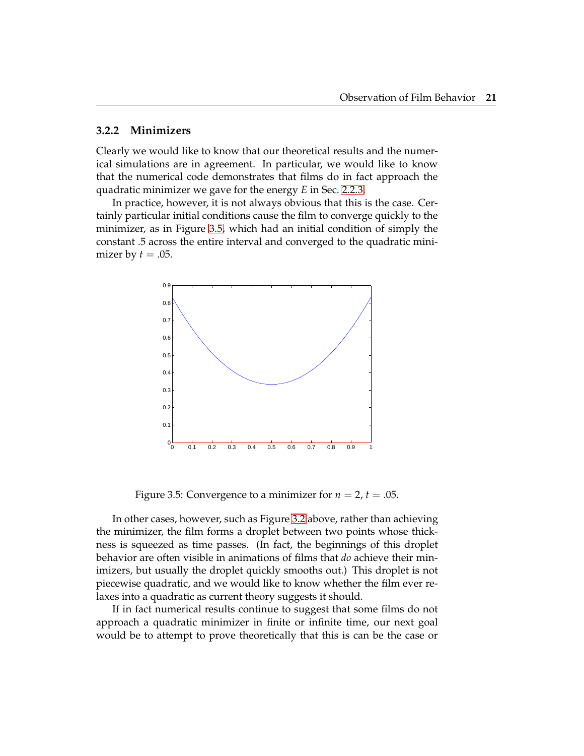#### **3.2.2 Minimizers**

Clearly we would like to know that our theoretical results and the numerical simulations are in agreement. In particular, we would like to know that the numerical code demonstrates that films do in fact approach the quadratic minimizer we gave for the energy *E* in Sec. [2.2.3.](#page-16-0)

In practice, however, it is not always obvious that this is the case. Certainly particular initial conditions cause the film to converge quickly to the minimizer, as in Figure [3.5,](#page-28-0) which had an initial condition of simply the constant .5 across the entire interval and converged to the quadratic minimizer by  $t = .05$ .



<span id="page-28-0"></span>Figure 3.5: Convergence to a minimizer for  $n = 2$ ,  $t = .05$ .

In other cases, however, such as Figure [3.2](#page-26-0) above, rather than achieving the minimizer, the film forms a droplet between two points whose thickness is squeezed as time passes. (In fact, the beginnings of this droplet behavior are often visible in animations of films that *do* achieve their minimizers, but usually the droplet quickly smooths out.) This droplet is not piecewise quadratic, and we would like to know whether the film ever relaxes into a quadratic as current theory suggests it should.

If in fact numerical results continue to suggest that some films do not approach a quadratic minimizer in finite or infinite time, our next goal would be to attempt to prove theoretically that this is can be the case or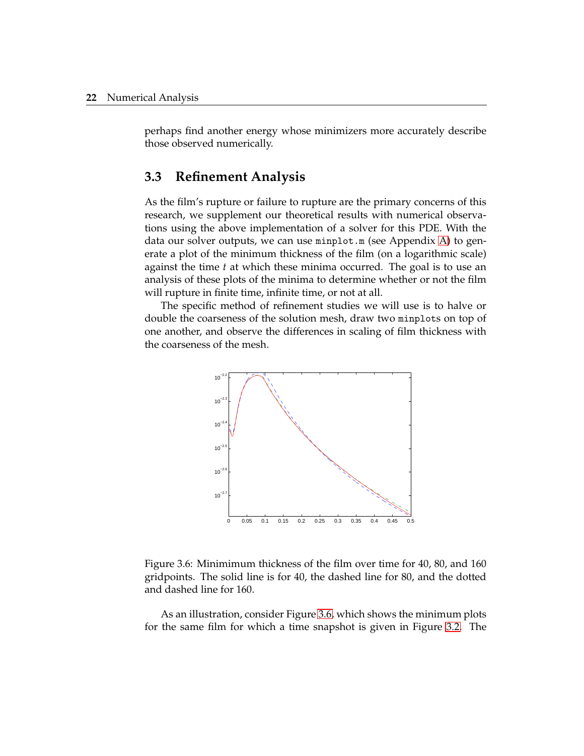perhaps find another energy whose minimizers more accurately describe those observed numerically.

## <span id="page-29-0"></span>**3.3 Refinement Analysis**

As the film's rupture or failure to rupture are the primary concerns of this research, we supplement our theoretical results with numerical observations using the above implementation of a solver for this PDE. With the data our solver outputs, we can use minplot.m (see Appendix [A\)](#page-34-0) to generate a plot of the minimum thickness of the film (on a logarithmic scale) against the time *t* at which these minima occurred. The goal is to use an analysis of these plots of the minima to determine whether or not the film will rupture in finite time, infinite time, or not at all.

The specific method of refinement studies we will use is to halve or double the coarseness of the solution mesh, draw two minplots on top of one another, and observe the differences in scaling of film thickness with the coarseness of the mesh.



<span id="page-29-1"></span>Figure 3.6: Minimimum thickness of the film over time for 40, 80, and 160 gridpoints. The solid line is for 40, the dashed line for 80, and the dotted and dashed line for 160.

As an illustration, consider Figure [3.6,](#page-29-1) which shows the minimum plots for the same film for which a time snapshot is given in Figure [3.2.](#page-26-0) The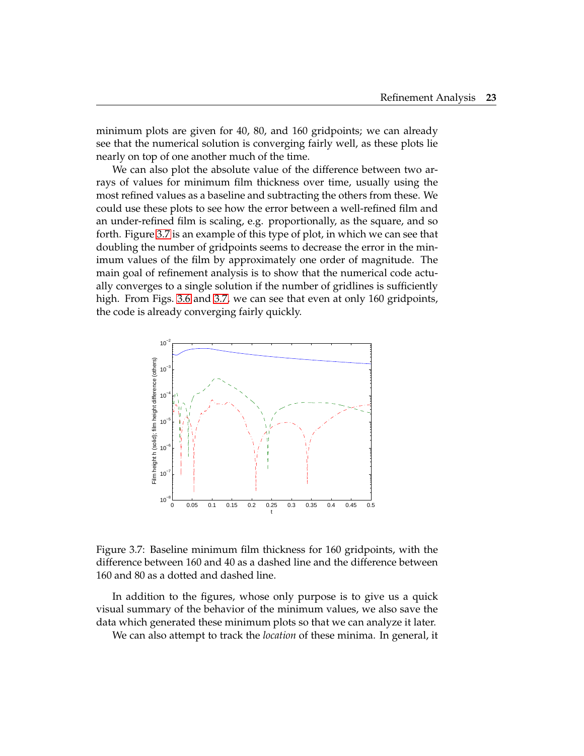minimum plots are given for 40, 80, and 160 gridpoints; we can already see that the numerical solution is converging fairly well, as these plots lie nearly on top of one another much of the time.

We can also plot the absolute value of the difference between two arrays of values for minimum film thickness over time, usually using the most refined values as a baseline and subtracting the others from these. We could use these plots to see how the error between a well-refined film and an under-refined film is scaling, e.g. proportionally, as the square, and so forth. Figure [3.7](#page-30-0) is an example of this type of plot, in which we can see that doubling the number of gridpoints seems to decrease the error in the minimum values of the film by approximately one order of magnitude. The main goal of refinement analysis is to show that the numerical code actually converges to a single solution if the number of gridlines is sufficiently high. From Figs. [3.6](#page-29-1) and [3.7,](#page-30-0) we can see that even at only 160 gridpoints, the code is already converging fairly quickly.



<span id="page-30-0"></span>Figure 3.7: Baseline minimum film thickness for 160 gridpoints, with the difference between 160 and 40 as a dashed line and the difference between 160 and 80 as a dotted and dashed line.

In addition to the figures, whose only purpose is to give us a quick visual summary of the behavior of the minimum values, we also save the data which generated these minimum plots so that we can analyze it later.

We can also attempt to track the *location* of these minima. In general, it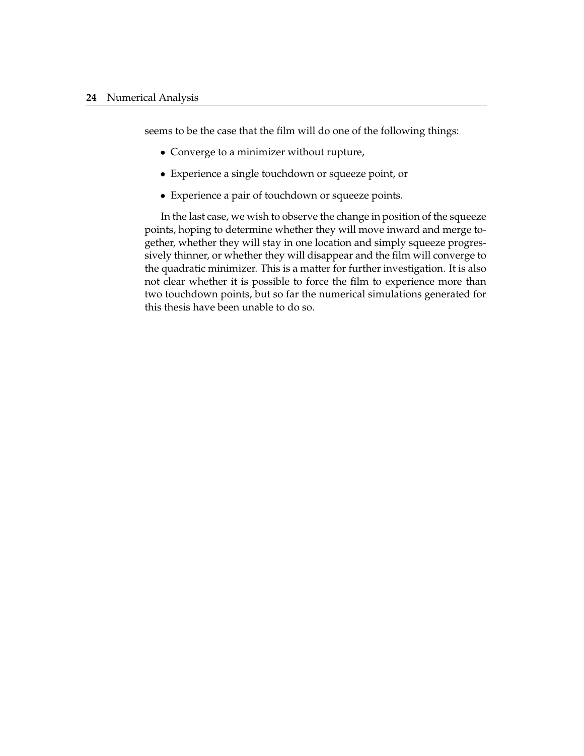seems to be the case that the film will do one of the following things:

- Converge to a minimizer without rupture,
- Experience a single touchdown or squeeze point, or
- Experience a pair of touchdown or squeeze points.

In the last case, we wish to observe the change in position of the squeeze points, hoping to determine whether they will move inward and merge together, whether they will stay in one location and simply squeeze progressively thinner, or whether they will disappear and the film will converge to the quadratic minimizer. This is a matter for further investigation. It is also not clear whether it is possible to force the film to experience more than two touchdown points, but so far the numerical simulations generated for this thesis have been unable to do so.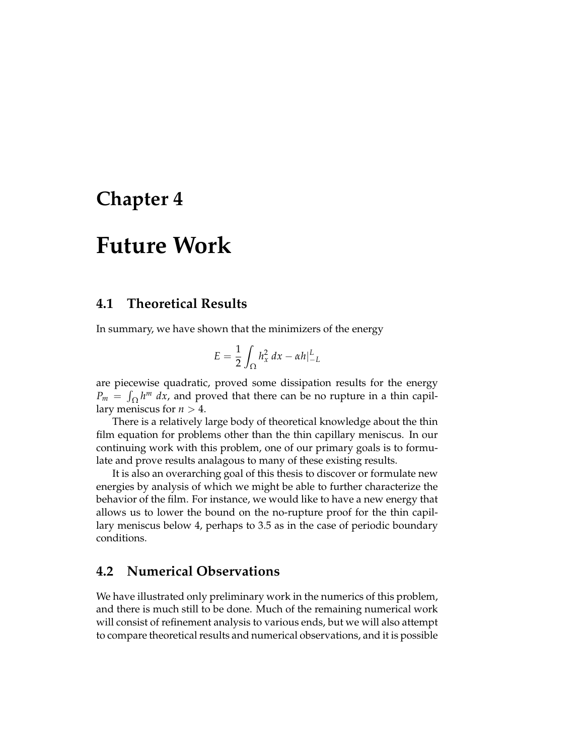# <span id="page-32-0"></span>**Chapter 4**

# **Future Work**

### <span id="page-32-1"></span>**4.1 Theoretical Results**

In summary, we have shown that the minimizers of the energy

$$
E = \frac{1}{2} \int_{\Omega} h_x^2 dx - \alpha h \big|_{-L}^{L}
$$

are piecewise quadratic, proved some dissipation results for the energy  $P_m = \int_{\Omega} h^m dx$ , and proved that there can be no rupture in a thin capillary meniscus for  $n > 4$ .

There is a relatively large body of theoretical knowledge about the thin film equation for problems other than the thin capillary meniscus. In our continuing work with this problem, one of our primary goals is to formulate and prove results analagous to many of these existing results.

It is also an overarching goal of this thesis to discover or formulate new energies by analysis of which we might be able to further characterize the behavior of the film. For instance, we would like to have a new energy that allows us to lower the bound on the no-rupture proof for the thin capillary meniscus below 4, perhaps to 3.5 as in the case of periodic boundary conditions.

# <span id="page-32-2"></span>**4.2 Numerical Observations**

We have illustrated only preliminary work in the numerics of this problem, and there is much still to be done. Much of the remaining numerical work will consist of refinement analysis to various ends, but we will also attempt to compare theoretical results and numerical observations, and it is possible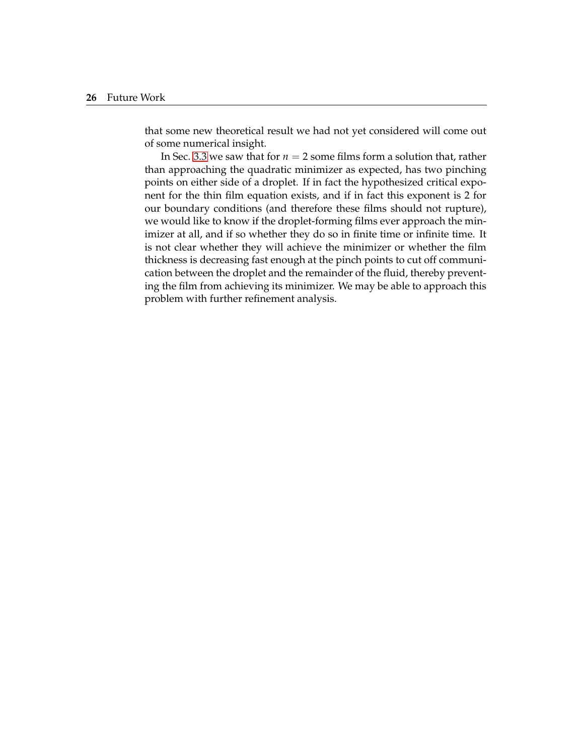that some new theoretical result we had not yet considered will come out of some numerical insight.

In Sec. [3.3](#page-29-0) we saw that for  $n = 2$  some films form a solution that, rather than approaching the quadratic minimizer as expected, has two pinching points on either side of a droplet. If in fact the hypothesized critical exponent for the thin film equation exists, and if in fact this exponent is 2 for our boundary conditions (and therefore these films should not rupture), we would like to know if the droplet-forming films ever approach the minimizer at all, and if so whether they do so in finite time or infinite time. It is not clear whether they will achieve the minimizer or whether the film thickness is decreasing fast enough at the pinch points to cut off communication between the droplet and the remainder of the fluid, thereby preventing the film from achieving its minimizer. We may be able to approach this problem with further refinement analysis.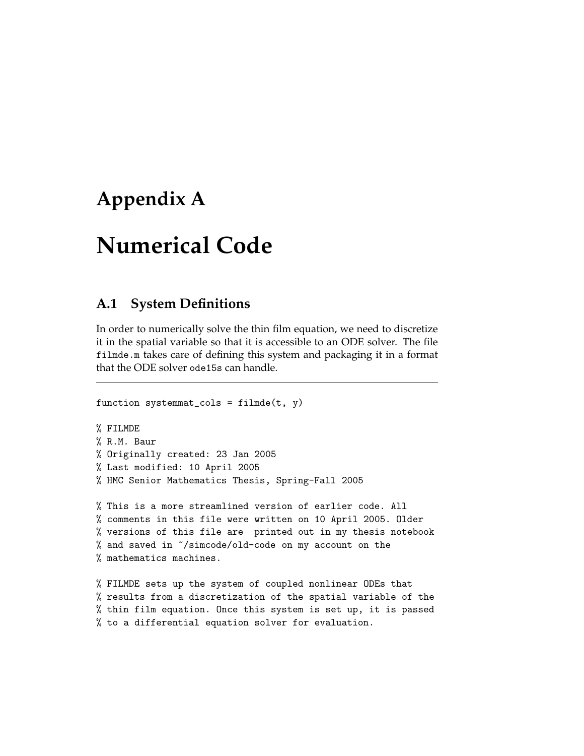# <span id="page-34-0"></span>**Appendix A**

# **Numerical Code**

# <span id="page-34-1"></span>**A.1 System Definitions**

In order to numerically solve the thin film equation, we need to discretize it in the spatial variable so that it is accessible to an ODE solver. The file filmde.m takes care of defining this system and packaging it in a format that the ODE solver ode15s can handle.

```
function systemmat_cols = filter(t, y)% FILMDE
% R.M. Baur
% Originally created: 23 Jan 2005
% Last modified: 10 April 2005
% HMC Senior Mathematics Thesis, Spring-Fall 2005
% This is a more streamlined version of earlier code. All
% comments in this file were written on 10 April 2005. Older
% versions of this file are printed out in my thesis notebook
% and saved in ~/simcode/old-code on my account on the
% mathematics machines.
% FILMDE sets up the system of coupled nonlinear ODEs that
% results from a discretization of the spatial variable of the
% thin film equation. Once this system is set up, it is passed
% to a differential equation solver for evaluation.
```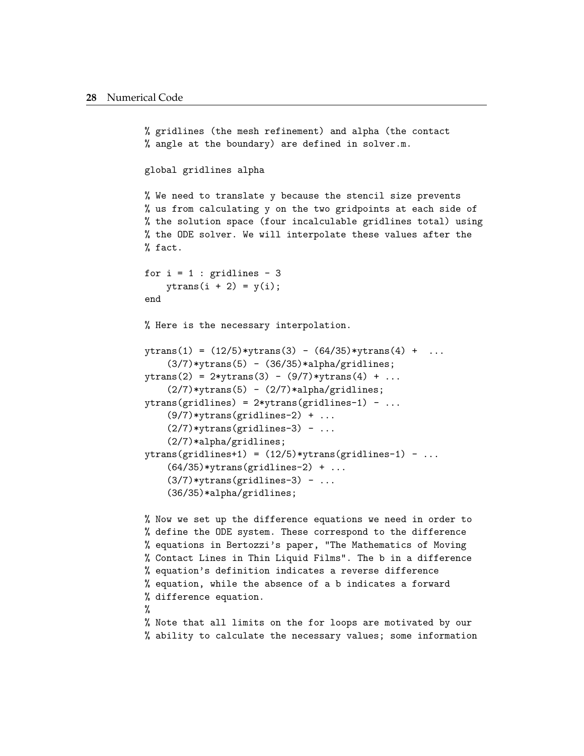```
% gridlines (the mesh refinement) and alpha (the contact
% angle at the boundary) are defined in solver.m.
global gridlines alpha
% We need to translate y because the stencil size prevents
% us from calculating y on the two gridpoints at each side of
% the solution space (four incalculable gridlines total) using
% the ODE solver. We will interpolate these values after the
% fact.
for i = 1 : gridlines - 3
    ytrans(i + 2) = y(i);end
% Here is the necessary interpolation.
ytrans(1) = (12/5) * ytrans(3) - (64/35) * ytrans(4) + ...(3/7)*ytrans(5) - (36/35)*alpha/gridlines;ytrans(2) = 2*ytrans(3) - (9/7)*ytrans(4) + ...(2/7)*ytrans(5) - (2/7)*alpha/gridlines;ytrans(gridlines) = 2*ytrans(gridlines-1) - ...(9/7)*ytrans(gridlines-2) + ...
    (2/7)*ytrans(gridlines-3) - ...
    (2/7)*alpha/gridlines;
ytrans(gridlines+1) = (12/5)*ytrans(gridlines-1) - ...(64/35)*ytrans(gridlines-2) + ...
    (3/7)*ytrans(gridlines-3) - ...
    (36/35)*alpha/gridlines;
% Now we set up the difference equations we need in order to
% define the ODE system. These correspond to the difference
% equations in Bertozzi's paper, "The Mathematics of Moving
```

```
% Contact Lines in Thin Liquid Films". The b in a difference
% equation's definition indicates a reverse difference
% equation, while the absence of a b indicates a forward
% difference equation.
%
% Note that all limits on the for loops are motivated by our
```
% ability to calculate the necessary values; some information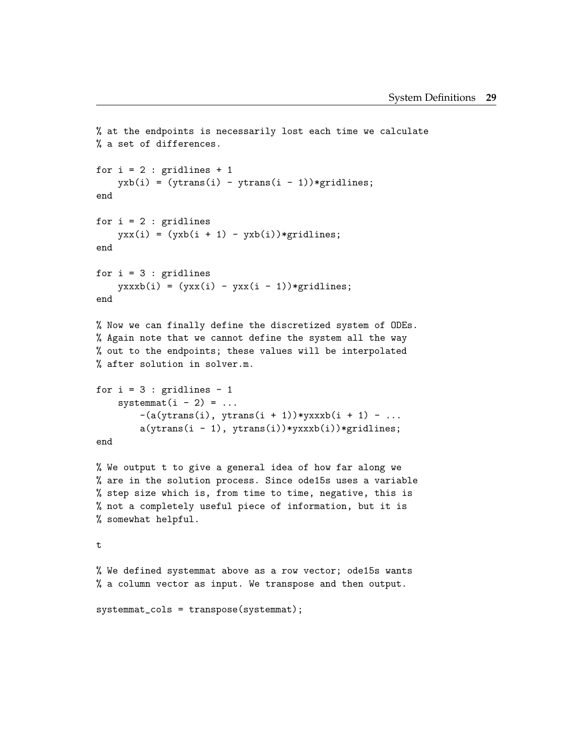```
% at the endpoints is necessarily lost each time we calculate
% a set of differences.
for i = 2 : gridlines + 1
    yxb(i) = (ytrans(i) - ytrans(i - 1)) * gridlines;end
for i = 2 : gridlines
   yxx(i) = (yxb(i + 1) - yxb(i)) * gridlines;end
for i = 3 : gridlines
    yxxxb(i) = (yxx(i) - yxx(i - 1)) * gridlines;end
% Now we can finally define the discretized system of ODEs.
% Again note that we cannot define the system all the way
% out to the endpoints; these values will be interpolated
% after solution in solver.m.
for i = 3: gridlines - 1
    systemmat(i - 2) = ...-(a(ytrans(i), ytrans(i + 1))*yxxxb(i + 1) - ...a(ytrans(i - 1), ytrans(i))*yxxxb(i))*gridlines;end
% We output t to give a general idea of how far along we
% are in the solution process. Since ode15s uses a variable
% step size which is, from time to time, negative, this is
% not a completely useful piece of information, but it is
% somewhat helpful.
t
% We defined systemmat above as a row vector; ode15s wants
% a column vector as input. We transpose and then output.
systemmat_cols = transpose(systemmat);
```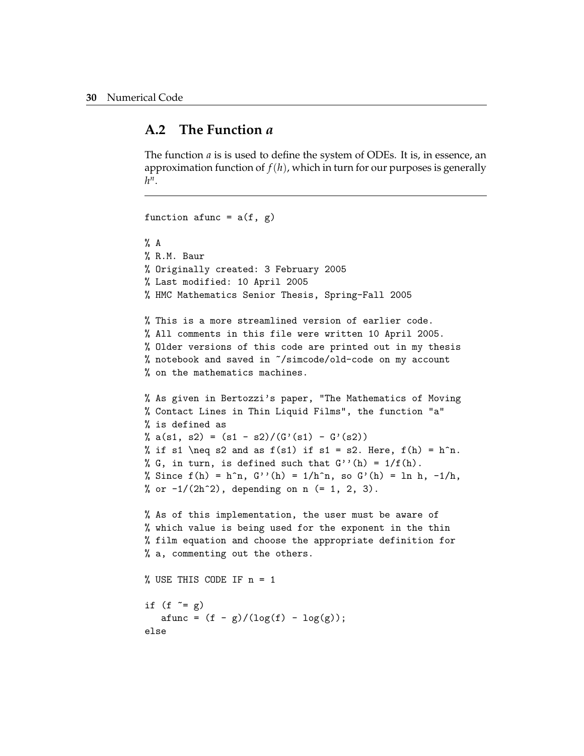### <span id="page-37-0"></span>**A.2 The Function** *a*

The function *a* is is used to define the system of ODEs. It is, in essence, an approximation function of  $f(h)$ , which in turn for our purposes is generally *h n* .

```
function afunc = a(f, g)\% A
% R.M. Baur
% Originally created: 3 February 2005
% Last modified: 10 April 2005
% HMC Mathematics Senior Thesis, Spring-Fall 2005
% This is a more streamlined version of earlier code.
% All comments in this file were written 10 April 2005.
% Older versions of this code are printed out in my thesis
% notebook and saved in ~/simcode/old-code on my account
% on the mathematics machines.
% As given in Bertozzi's paper, "The Mathematics of Moving
% Contact Lines in Thin Liquid Films", the function "a"
% is defined as
% a(s1, s2) = (s1 - s2)/(G'(s1) - G'(s2))% if s1 \neq s2 and as f(s1) if s1 = s2. Here, f(h) = h^n.
% G, in turn, is defined such that G''(h) = 1/f(h).
% Since f(h) = h^n n, G''(h) = 1/h^n n, so G'(h) = ln h, -1/h,
% or -1/(2h^2), depending on n (= 1, 2, 3).
% As of this implementation, the user must be aware of
% which value is being used for the exponent in the thin
% film equation and choose the appropriate definition for
% a, commenting out the others.
% USE THIS CODE IF n = 1
if (f \sim = g)afunc = (f - g)/(log(f) - log(g));else
```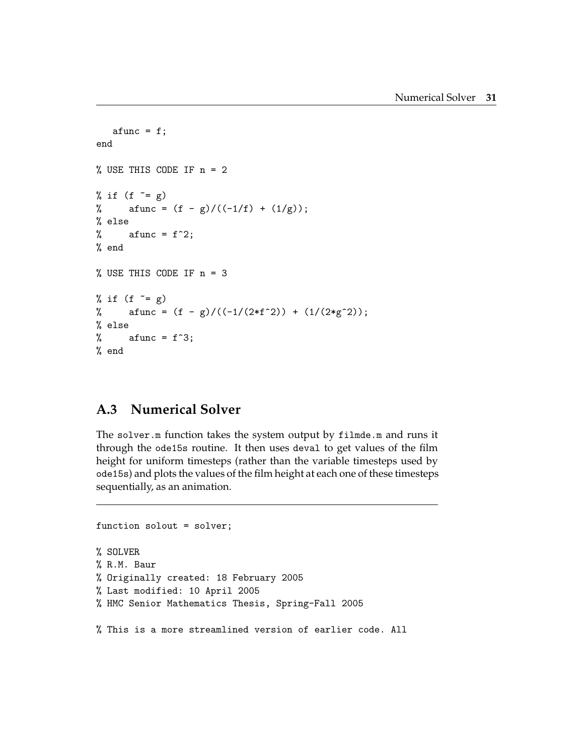```
afunc = f;
end
% USE THIS CODE IF n = 2
% if (f \tilde{f} = g)
% afunc = (f - g)/((-1/f) + (1/g));% else
% afunc = f^2;
% end
% USE THIS CODE IF n = 3
% if (f \tilde{f} = g)
% afunc = (f - g)/((-1/(2*f^2)) + (1/(2*g^2));% else
% afunc = f^3;
% end
```
# <span id="page-38-0"></span>**A.3 Numerical Solver**

The solver.m function takes the system output by filmde.m and runs it through the ode15s routine. It then uses deval to get values of the film height for uniform timesteps (rather than the variable timesteps used by ode15s) and plots the values of the film height at each one of these timesteps sequentially, as an animation.

```
function solout = solver;
% SOLVER
% R.M. Baur
% Originally created: 18 February 2005
% Last modified: 10 April 2005
% HMC Senior Mathematics Thesis, Spring-Fall 2005
% This is a more streamlined version of earlier code. All
```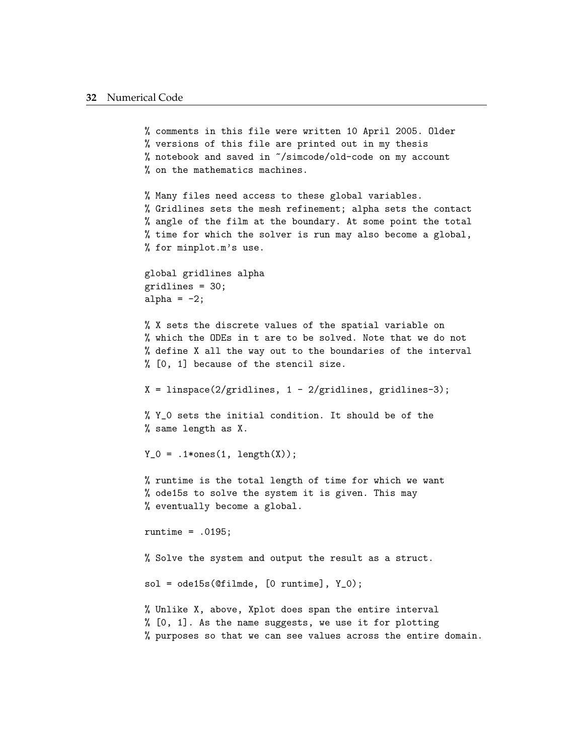```
% comments in this file were written 10 April 2005. Older
% versions of this file are printed out in my thesis
% notebook and saved in ~/simcode/old-code on my account
% on the mathematics machines.
% Many files need access to these global variables.
% Gridlines sets the mesh refinement; alpha sets the contact
% angle of the film at the boundary. At some point the total
% time for which the solver is run may also become a global,
% for minplot.m's use.
global gridlines alpha
gridlines = 30;
alpha = -2;
% X sets the discrete values of the spatial variable on
% which the ODEs in t are to be solved. Note that we do not
% define X all the way out to the boundaries of the interval
% [0, 1] because of the stencil size.
X = linspace(2/gridlines, 1 - 2/gridlines, gridlines-3);
% Y_0 sets the initial condition. It should be of the
% same length as X.
Y_0 = .1*ones(1, length(X));% runtime is the total length of time for which we want
% ode15s to solve the system it is given. This may
% eventually become a global.
runtime = .0195;
% Solve the system and output the result as a struct.
sol = ode15s(Ofilmde, [0 runtime], Y_0);% Unlike X, above, Xplot does span the entire interval
% [0, 1]. As the name suggests, we use it for plotting
% purposes so that we can see values across the entire domain.
```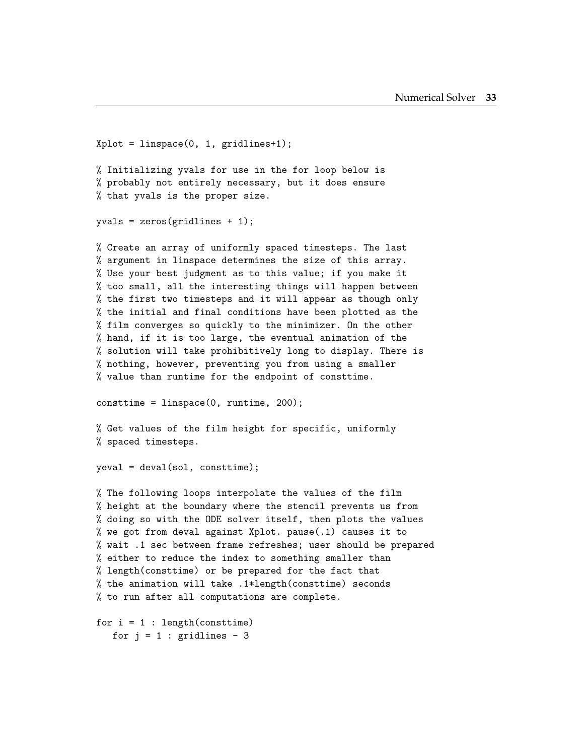```
Xplot = linspace(0, 1, gridlines+1);% Initializing yvals for use in the for loop below is
% probably not entirely necessary, but it does ensure
% that yvals is the proper size.
yvals = zeros(gridlines + 1);% Create an array of uniformly spaced timesteps. The last
% argument in linspace determines the size of this array.
% Use your best judgment as to this value; if you make it
% too small, all the interesting things will happen between
% the first two timesteps and it will appear as though only
% the initial and final conditions have been plotted as the
% film converges so quickly to the minimizer. On the other
% hand, if it is too large, the eventual animation of the
% solution will take prohibitively long to display. There is
% nothing, however, preventing you from using a smaller
% value than runtime for the endpoint of consttime.
consttime = linspace(0, runtime, 200);
% Get values of the film height for specific, uniformly
% spaced timesteps.
yeval = deval(sol, consttime);
% The following loops interpolate the values of the film
% height at the boundary where the stencil prevents us from
% doing so with the ODE solver itself, then plots the values
% we got from deval against Xplot. pause(.1) causes it to
% wait .1 sec between frame refreshes; user should be prepared
% either to reduce the index to something smaller than
% length(consttime) or be prepared for the fact that
% the animation will take .1*length(consttime) seconds
% to run after all computations are complete.
for i = 1 : length (consttime)
```
for  $j = 1$  : gridlines - 3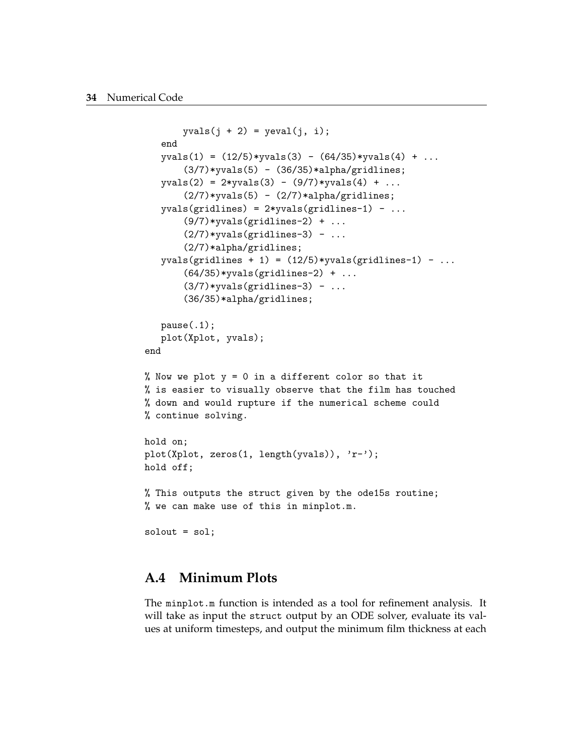```
yvals(j + 2) = yeval(j, i);end
   yvals(1) = (12/5)*yvals(3) - (64/35)*yvals(4) + ...(3/7)*yvals(5) - (36/35)*alpha/gridlines;yvals(2) = 2* yvals(3) - (9/7)*yvals(4) + ...(2/7)*yvals(5) - (2/7)*alpha/gridlines;yvals(gridlines) = 2*yvals(gridlines-1) - ...(9/7)*yvals(gridlines-2) + ...
       (2/7)*yvals(gridlines-3) - ...
       (2/7)*alpha/gridlines;
   yvals(gridlines + 1) = (12/5)*yvals(gridlines-1) - ...
       (64/35)*yvals(gridlines-2) + ...(3/7)*yvals(gridlines-3) - ...
       (36/35)*alpha/gridlines;
   pause(.1);
   plot(Xplot, yvals);
end
% Now we plot y = 0 in a different color so that it
% is easier to visually observe that the film has touched
% down and would rupture if the numerical scheme could
% continue solving.
hold on;
plot(Xplot, zeros(1, length(yvals)), 'r-');
hold off;
% This outputs the struct given by the ode15s routine;
% we can make use of this in minplot.m.
solout = sol;
```
### <span id="page-41-0"></span>**A.4 Minimum Plots**

The minplot.m function is intended as a tool for refinement analysis. It will take as input the struct output by an ODE solver, evaluate its values at uniform timesteps, and output the minimum film thickness at each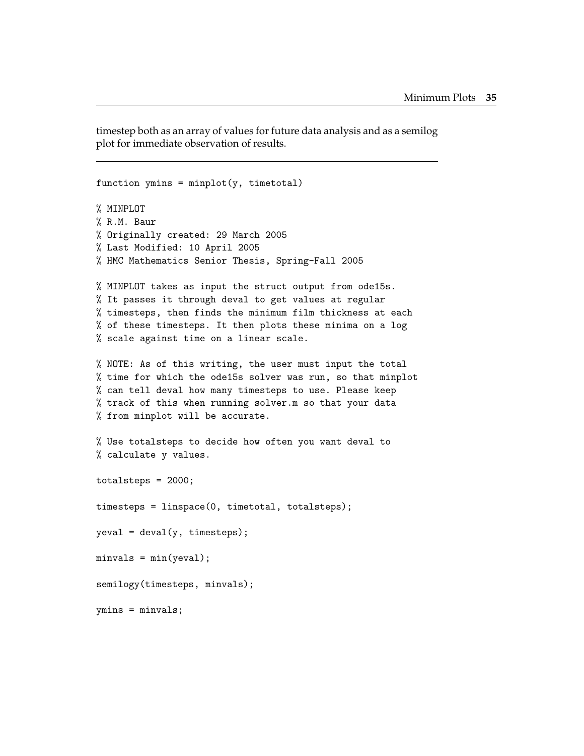timestep both as an array of values for future data analysis and as a semilog plot for immediate observation of results.

```
function ymins = minplot(y, timetotal)% MINPLOT
% R.M. Baur
% Originally created: 29 March 2005
% Last Modified: 10 April 2005
% HMC Mathematics Senior Thesis, Spring-Fall 2005
% MINPLOT takes as input the struct output from ode15s.
% It passes it through deval to get values at regular
% timesteps, then finds the minimum film thickness at each
% of these timesteps. It then plots these minima on a log
% scale against time on a linear scale.
% NOTE: As of this writing, the user must input the total
% time for which the ode15s solver was run, so that minplot
% can tell deval how many timesteps to use. Please keep
% track of this when running solver.m so that your data
% from minplot will be accurate.
% Use totalsteps to decide how often you want deval to
% calculate y values.
totalsteps = 2000;
timesteps = linspace(0, timetotal, totalsteps);
yeval = deval(y, timesteps);minusals = min(yeval);semilogy(timesteps, minvals);
ymins = minvals;
```